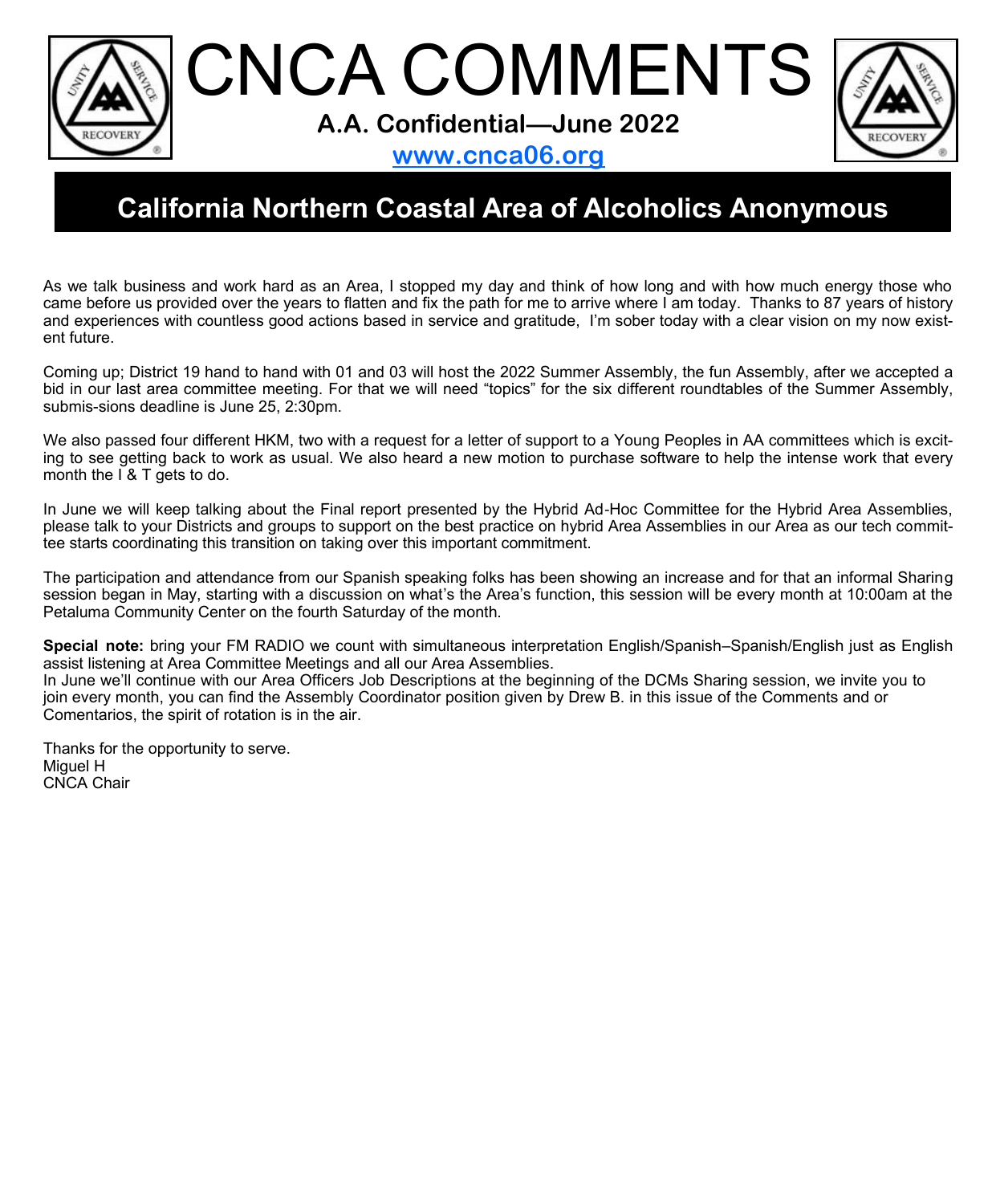CNCA COMMENTS **A.A. Confidential—June 2022**



**www.cnca06.org**

# **California Northern Coastal Area of Alcoholics Anonymous**

As we talk business and work hard as an Area, I stopped my day and think of how long and with how much energy those who came before us provided over the years to flatten and fix the path for me to arrive where I am today. Thanks to 87 years of history and experiences with countless good actions based in service and gratitude, I'm sober today with a clear vision on my now existent future.

Coming up; District 19 hand to hand with 01 and 03 will host the 2022 Summer Assembly, the fun Assembly, after we accepted a bid in our last area committee meeting. For that we will need "topics" for the six different roundtables of the Summer Assembly, submis-sions deadline is June 25, 2:30pm.

We also passed four different HKM, two with a request for a letter of support to a Young Peoples in AA committees which is exciting to see getting back to work as usual. We also heard a new motion to purchase software to help the intense work that every month the  $I \& I$  gets to do.

In June we will keep talking about the Final report presented by the Hybrid Ad-Hoc Committee for the Hybrid Area Assemblies, please talk to your Districts and groups to support on the best practice on hybrid Area Assemblies in our Area as our tech committee starts coordinating this transition on taking over this important commitment.

The participation and attendance from our Spanish speaking folks has been showing an increase and for that an informal Sharing session began in May, starting with a discussion on what's the Area's function, this session will be every month at 10:00am at the Petaluma Community Center on the fourth Saturday of the month.

**Special note:** bring your FM RADIO we count with simultaneous interpretation English/Spanish–Spanish/English just as English assist listening at Area Committee Meetings and all our Area Assemblies.

In June we'll continue with our Area Officers Job Descriptions at the beginning of the DCMs Sharing session, we invite you to join every month, you can find the Assembly Coordinator position given by Drew B. in this issue of the Comments and or Comentarios, the spirit of rotation is in the air.

Thanks for the opportunity to serve. Miguel H CNCA Chair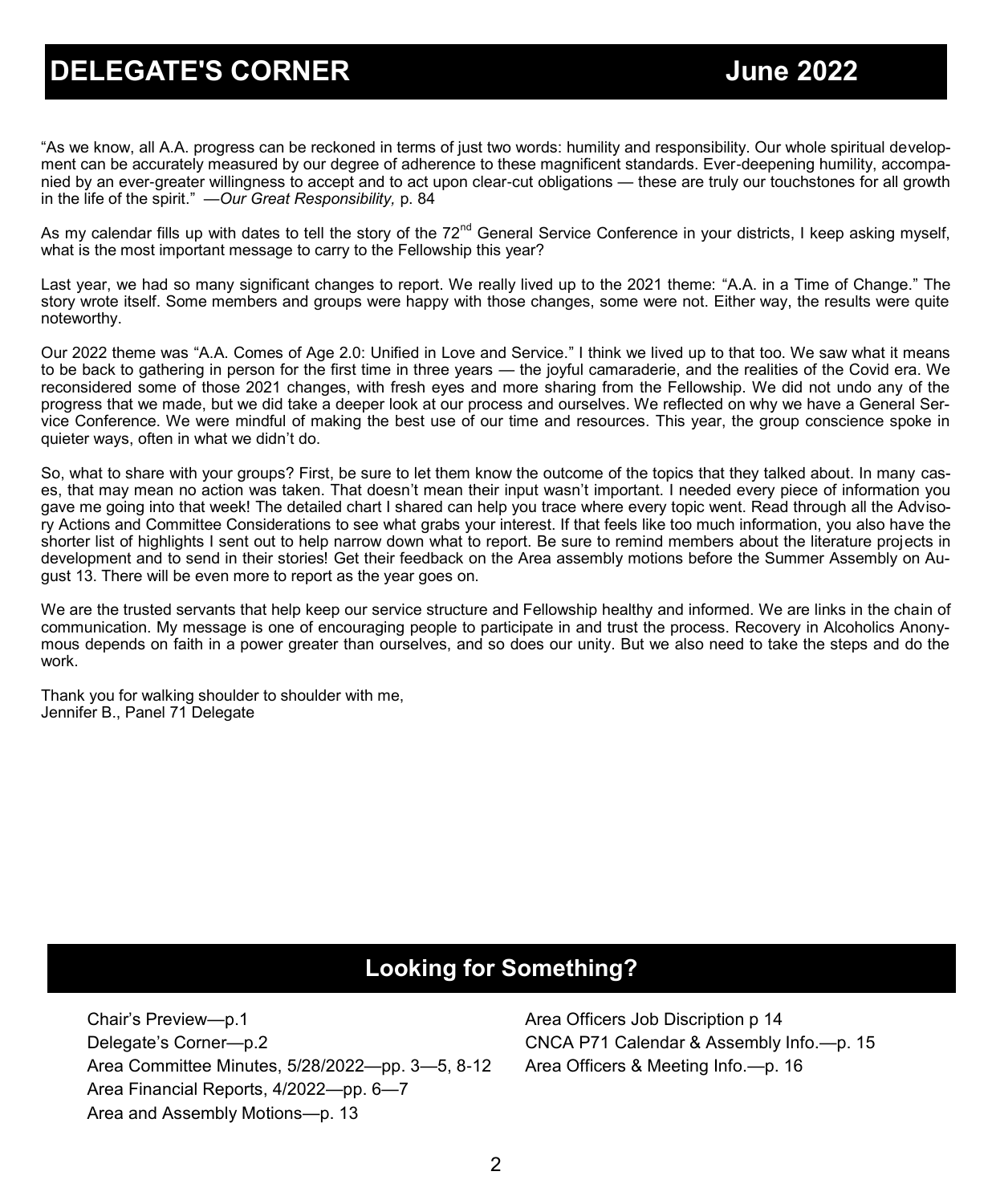# **DELEGATE'S CORNER June 2022 DELEGATE'S**

"As we know, all A.A. progress can be reckoned in terms of just two words: humility and responsibility. Our whole spiritual development can be accurately measured by our degree of adherence to these magnificent standards. Ever-deepening humility, accompanied by an ever-greater willingness to accept and to act upon clear-cut obligations — these are truly our touchstones for all growth in the life of the spirit." —*Our Great Responsibility,* p. 84

As my calendar fills up with dates to tell the story of the  $72<sup>nd</sup>$  General Service Conference in your districts, I keep asking myself, what is the most important message to carry to the Fellowship this year?

Last year, we had so many significant changes to report. We really lived up to the 2021 theme: "A.A. in a Time of Change." The story wrote itself. Some members and groups were happy with those changes, some were not. Either way, the results were quite noteworthy.

Our 2022 theme was "A.A. Comes of Age 2.0: Unified in Love and Service." I think we lived up to that too. We saw what it means to be back to gathering in person for the first time in three years — the joyful camaraderie, and the realities of the Covid era. We reconsidered some of those 2021 changes, with fresh eyes and more sharing from the Fellowship. We did not undo any of the progress that we made, but we did take a deeper look at our process and ourselves. We reflected on why we have a General Service Conference. We were mindful of making the best use of our time and resources. This year, the group conscience spoke in quieter ways, often in what we didn't do.

So, what to share with your groups? First, be sure to let them know the outcome of the topics that they talked about. In many cases, that may mean no action was taken. That doesn't mean their input wasn't important. I needed every piece of information you gave me going into that week! The detailed chart I shared can help you trace where every topic went. Read through all the Advisory Actions and Committee Considerations to see what grabs your interest. If that feels like too much information, you also have the shorter list of highlights I sent out to help narrow down what to report. Be sure to remind members about the literature projects in development and to send in their stories! Get their feedback on the Area assembly motions before the Summer Assembly on August 13. There will be even more to report as the year goes on.

We are the trusted servants that help keep our service structure and Fellowship healthy and informed. We are links in the chain of communication. My message is one of encouraging people to participate in and trust the process. Recovery in Alcoholics Anonymous depends on faith in a power greater than ourselves, and so does our unity. But we also need to take the steps and do the work.

Thank you for walking shoulder to shoulder with me, Jennifer B., Panel 71 Delegate

# **Looking for Something?**

Chair's Preview—p.1 Delegate's Corner—p.2 Area Committee Minutes, 5/28/2022—pp. 3—5, 8-12 Area Financial Reports, 4/2022—pp. 6—7 Area and Assembly Motions—p. 13

Area Officers Job Discription p 14 CNCA P71 Calendar & Assembly Info.—p. 15 Area Officers & Meeting Info.—p. 16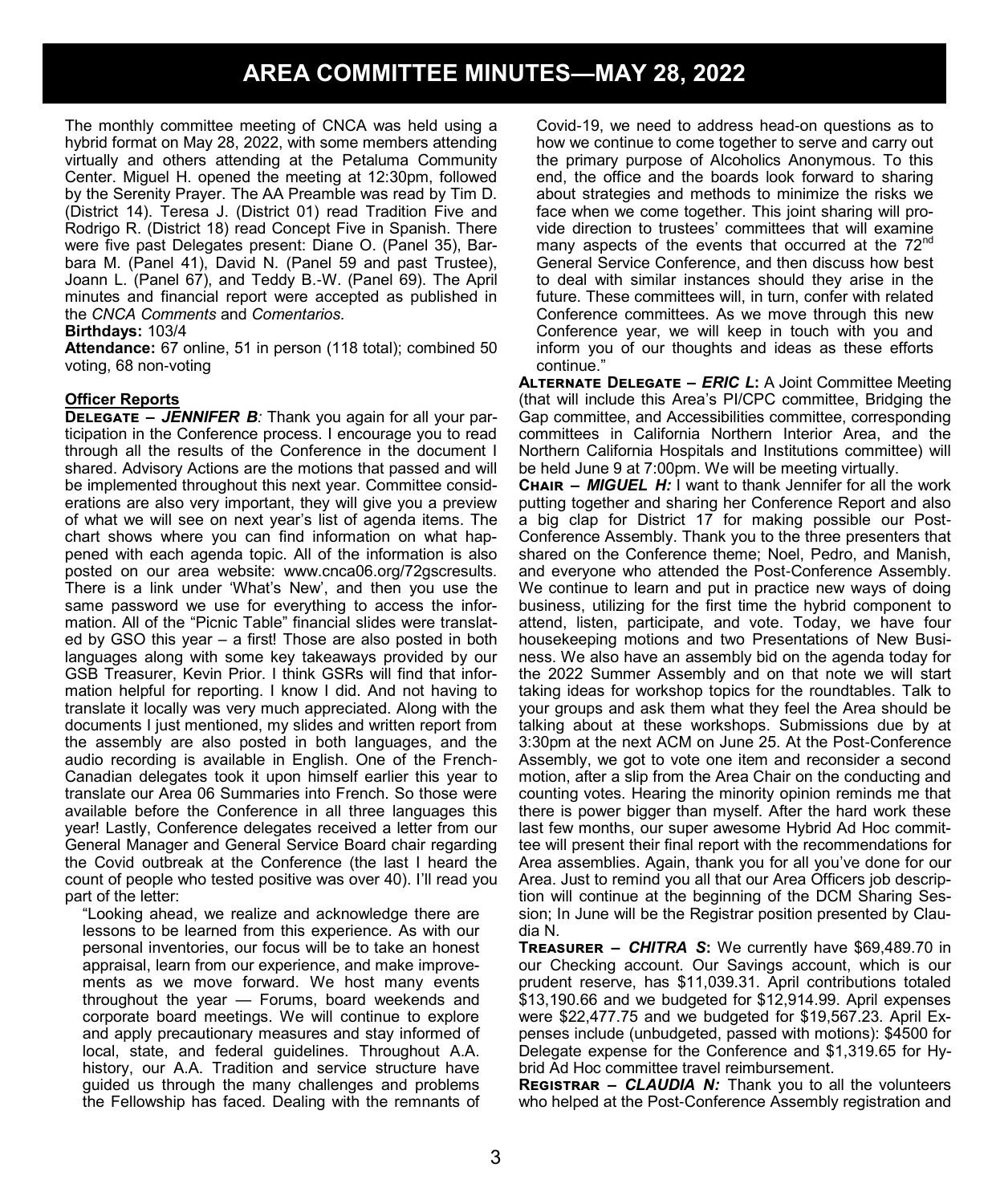# **AREA COMMITTEE MINUTES—MAY 28, 2022**

The monthly committee meeting of CNCA was held using a hybrid format on May 28, 2022, with some members attending virtually and others attending at the Petaluma Community Center. Miguel H. opened the meeting at 12:30pm, followed by the Serenity Prayer. The AA Preamble was read by Tim D. (District 14). Teresa J. (District 01) read Tradition Five and Rodrigo R. (District 18) read Concept Five in Spanish. There were five past Delegates present: Diane O. (Panel 35), Barbara M. (Panel 41), David N. (Panel 59 and past Trustee), Joann L. (Panel 67), and Teddy B.-W. (Panel 69). The April minutes and financial report were accepted as published in the *CNCA Comments* and *Comentarios.*

#### **Birthdays:** 103/4

**Attendance:** 67 online, 51 in person (118 total); combined 50 voting, 68 non-voting

#### **Officer Reports**

**Delegate** *– JENNIFER B:* Thank you again for all your participation in the Conference process. I encourage you to read through all the results of the Conference in the document I shared. Advisory Actions are the motions that passed and will be implemented throughout this next year. Committee considerations are also very important, they will give you a preview of what we will see on next year's list of agenda items. The chart shows where you can find information on what happened with each agenda topic. All of the information is also posted on our area website: www.cnca06.org/72gscresults. There is a link under 'What's New', and then you use the same password we use for everything to access the information. All of the "Picnic Table" financial slides were translated by GSO this year – a first! Those are also posted in both languages along with some key takeaways provided by our GSB Treasurer, Kevin Prior. I think GSRs will find that information helpful for reporting. I know I did. And not having to translate it locally was very much appreciated. Along with the documents I just mentioned, my slides and written report from the assembly are also posted in both languages, and the audio recording is available in English. One of the French-Canadian delegates took it upon himself earlier this year to translate our Area 06 Summaries into French. So those were available before the Conference in all three languages this year! Lastly, Conference delegates received a letter from our General Manager and General Service Board chair regarding the Covid outbreak at the Conference (the last I heard the count of people who tested positive was over 40). I'll read you part of the letter:

"Looking ahead, we realize and acknowledge there are lessons to be learned from this experience. As with our personal inventories, our focus will be to take an honest appraisal, learn from our experience, and make improvements as we move forward. We host many events throughout the year — Forums, board weekends and corporate board meetings. We will continue to explore and apply precautionary measures and stay informed of local, state, and federal guidelines. Throughout A.A. history, our A.A. Tradition and service structure have guided us through the many challenges and problems the Fellowship has faced. Dealing with the remnants of Covid-19, we need to address head-on questions as to how we continue to come together to serve and carry out the primary purpose of Alcoholics Anonymous. To this end, the office and the boards look forward to sharing about strategies and methods to minimize the risks we face when we come together. This joint sharing will provide direction to trustees' committees that will examine many aspects of the events that occurred at the 72<sup>nd</sup> General Service Conference, and then discuss how best to deal with similar instances should they arise in the future. These committees will, in turn, confer with related Conference committees. As we move through this new Conference year, we will keep in touch with you and inform you of our thoughts and ideas as these efforts continue."

**Alternate Delegate** *– ERIC L***:** A Joint Committee Meeting (that will include this Area's PI/CPC committee, Bridging the Gap committee, and Accessibilities committee, corresponding committees in California Northern Interior Area, and the Northern California Hospitals and Institutions committee) will be held June 9 at 7:00pm. We will be meeting virtually.

**Chair** *– MIGUEL H:* I want to thank Jennifer for all the work putting together and sharing her Conference Report and also a big clap for District 17 for making possible our Post-Conference Assembly. Thank you to the three presenters that shared on the Conference theme; Noel, Pedro, and Manish, and everyone who attended the Post-Conference Assembly. We continue to learn and put in practice new ways of doing business, utilizing for the first time the hybrid component to attend, listen, participate, and vote. Today, we have four housekeeping motions and two Presentations of New Business. We also have an assembly bid on the agenda today for the 2022 Summer Assembly and on that note we will start taking ideas for workshop topics for the roundtables. Talk to your groups and ask them what they feel the Area should be talking about at these workshops. Submissions due by at 3:30pm at the next ACM on June 25. At the Post-Conference Assembly, we got to vote one item and reconsider a second motion, after a slip from the Area Chair on the conducting and counting votes. Hearing the minority opinion reminds me that there is power bigger than myself. After the hard work these last few months, our super awesome Hybrid Ad Hoc committee will present their final report with the recommendations for Area assemblies. Again, thank you for all you've done for our Area. Just to remind you all that our Area Officers job description will continue at the beginning of the DCM Sharing Session; In June will be the Registrar position presented by Claudia N.

**Treasurer** *– CHITRA S***:** We currently have \$69,489.70 in our Checking account. Our Savings account, which is our prudent reserve, has \$11,039.31. April contributions totaled \$13,190.66 and we budgeted for \$12,914.99. April expenses were \$22,477.75 and we budgeted for \$19,567.23. April Expenses include (unbudgeted, passed with motions): \$4500 for Delegate expense for the Conference and \$1,319.65 for Hybrid Ad Hoc committee travel reimbursement.

**REGISTRAR – CLAUDIA N:** Thank you to all the volunteers who helped at the Post-Conference Assembly registration and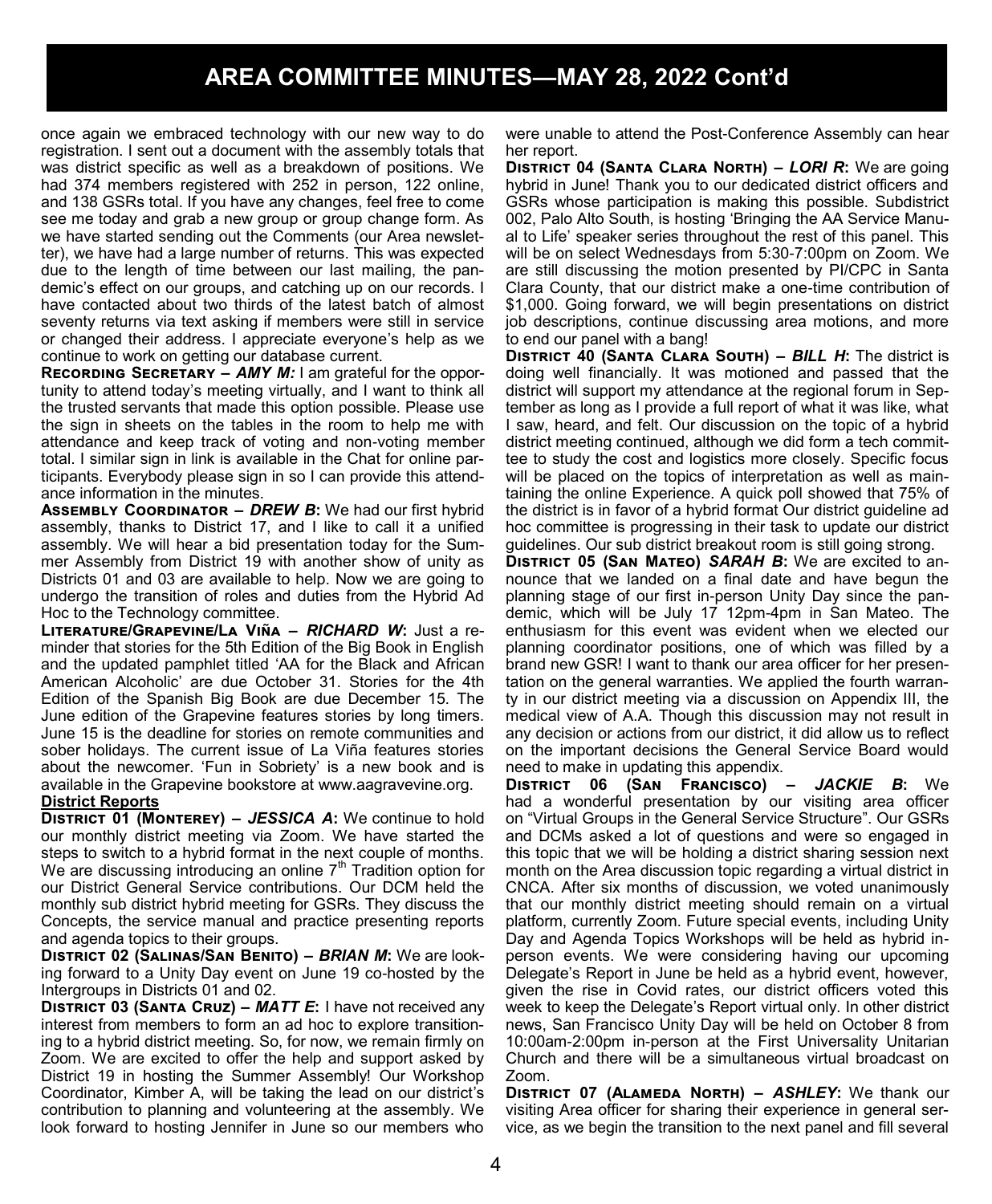once again we embraced technology with our new way to do registration. I sent out a document with the assembly totals that was district specific as well as a breakdown of positions. We had 374 members registered with 252 in person, 122 online, and 138 GSRs total. If you have any changes, feel free to come see me today and grab a new group or group change form. As we have started sending out the Comments (our Area newsletter), we have had a large number of returns. This was expected due to the length of time between our last mailing, the pandemic's effect on our groups, and catching up on our records. I have contacted about two thirds of the latest batch of almost seventy returns via text asking if members were still in service or changed their address. I appreciate everyone's help as we continue to work on getting our database current.

**RECORDING SECRETARY – AMY M:** I am grateful for the opportunity to attend today's meeting virtually, and I want to think all the trusted servants that made this option possible. Please use the sign in sheets on the tables in the room to help me with attendance and keep track of voting and non-voting member total. I similar sign in link is available in the Chat for online participants. Everybody please sign in so I can provide this attendance information in the minutes.

**Assembly Coordinator** *– DREW B***:** We had our first hybrid assembly, thanks to District 17, and I like to call it a unified assembly. We will hear a bid presentation today for the Summer Assembly from District 19 with another show of unity as Districts 01 and 03 are available to help. Now we are going to undergo the transition of roles and duties from the Hybrid Ad Hoc to the Technology committee.

**Literature/Grapevine/La Viña** *– RICHARD W***:** Just a reminder that stories for the 5th Edition of the Big Book in English and the updated pamphlet titled 'AA for the Black and African American Alcoholic' are due October 31. Stories for the 4th Edition of the Spanish Big Book are due December 15. The June edition of the Grapevine features stories by long timers. June 15 is the deadline for stories on remote communities and sober holidays. The current issue of La Viña features stories about the newcomer. 'Fun in Sobriety' is a new book and is available in the Grapevine bookstore at www.aagravevine.org.

#### **District Reports**

**District 01 (Monterey) –** *JESSICA A***:** We continue to hold our monthly district meeting via Zoom. We have started the steps to switch to a hybrid format in the next couple of months. We are discussing introducing an online  $7<sup>th</sup>$  Tradition option for our District General Service contributions. Our DCM held the monthly sub district hybrid meeting for GSRs. They discuss the Concepts, the service manual and practice presenting reports and agenda topics to their groups.

**District 02 (Salinas/San Benito) –** *BRIAN M***:** We are looking forward to a Unity Day event on June 19 co-hosted by the Intergroups in Districts 01 and 02.

**District 03 (Santa Cruz) –** *MATT E***:** I have not received any interest from members to form an ad hoc to explore transitioning to a hybrid district meeting. So, for now, we remain firmly on Zoom. We are excited to offer the help and support asked by District 19 in hosting the Summer Assembly! Our Workshop Coordinator, Kimber A, will be taking the lead on our district's contribution to planning and volunteering at the assembly. We look forward to hosting Jennifer in June so our members who

were unable to attend the Post-Conference Assembly can hear her report.

**District 04 (Santa Clara North) –** *LORI R***:** We are going hybrid in June! Thank you to our dedicated district officers and GSRs whose participation is making this possible. Subdistrict 002, Palo Alto South, is hosting 'Bringing the AA Service Manual to Life' speaker series throughout the rest of this panel. This will be on select Wednesdays from 5:30-7:00pm on Zoom. We are still discussing the motion presented by PI/CPC in Santa Clara County, that our district make a one-time contribution of \$1,000. Going forward, we will begin presentations on district job descriptions, continue discussing area motions, and more to end our panel with a bang!

**District 40 (Santa Clara South) –** *BILL H***:** The district is doing well financially. It was motioned and passed that the district will support my attendance at the regional forum in September as long as I provide a full report of what it was like, what I saw, heard, and felt. Our discussion on the topic of a hybrid district meeting continued, although we did form a tech committee to study the cost and logistics more closely. Specific focus will be placed on the topics of interpretation as well as maintaining the online Experience. A quick poll showed that 75% of the district is in favor of a hybrid format Our district guideline ad hoc committee is progressing in their task to update our district guidelines. Our sub district breakout room is still going strong.

**District 05 (San Mateo)** *SARAH B***:** We are excited to announce that we landed on a final date and have begun the planning stage of our first in-person Unity Day since the pandemic, which will be July 17 12pm-4pm in San Mateo. The enthusiasm for this event was evident when we elected our planning coordinator positions, one of which was filled by a brand new GSR! I want to thank our area officer for her presentation on the general warranties. We applied the fourth warranty in our district meeting via a discussion on Appendix III, the medical view of A.A. Though this discussion may not result in any decision or actions from our district, it did allow us to reflect on the important decisions the General Service Board would need to make in updating this appendix.

**District 06 (San Francisco) –** *JACKIE B***:** We had a wonderful presentation by our visiting area officer on "Virtual Groups in the General Service Structure". Our GSRs and DCMs asked a lot of questions and were so engaged in this topic that we will be holding a district sharing session next month on the Area discussion topic regarding a virtual district in CNCA. After six months of discussion, we voted unanimously that our monthly district meeting should remain on a virtual platform, currently Zoom. Future special events, including Unity Day and Agenda Topics Workshops will be held as hybrid inperson events. We were considering having our upcoming Delegate's Report in June be held as a hybrid event, however, given the rise in Covid rates, our district officers voted this week to keep the Delegate's Report virtual only. In other district news, San Francisco Unity Day will be held on October 8 from 10:00am-2:00pm in-person at the First Universality Unitarian Church and there will be a simultaneous virtual broadcast on Zoom.

**District 07 (Alameda North) –** *ASHLEY***:** We thank our visiting Area officer for sharing their experience in general service, as we begin the transition to the next panel and fill several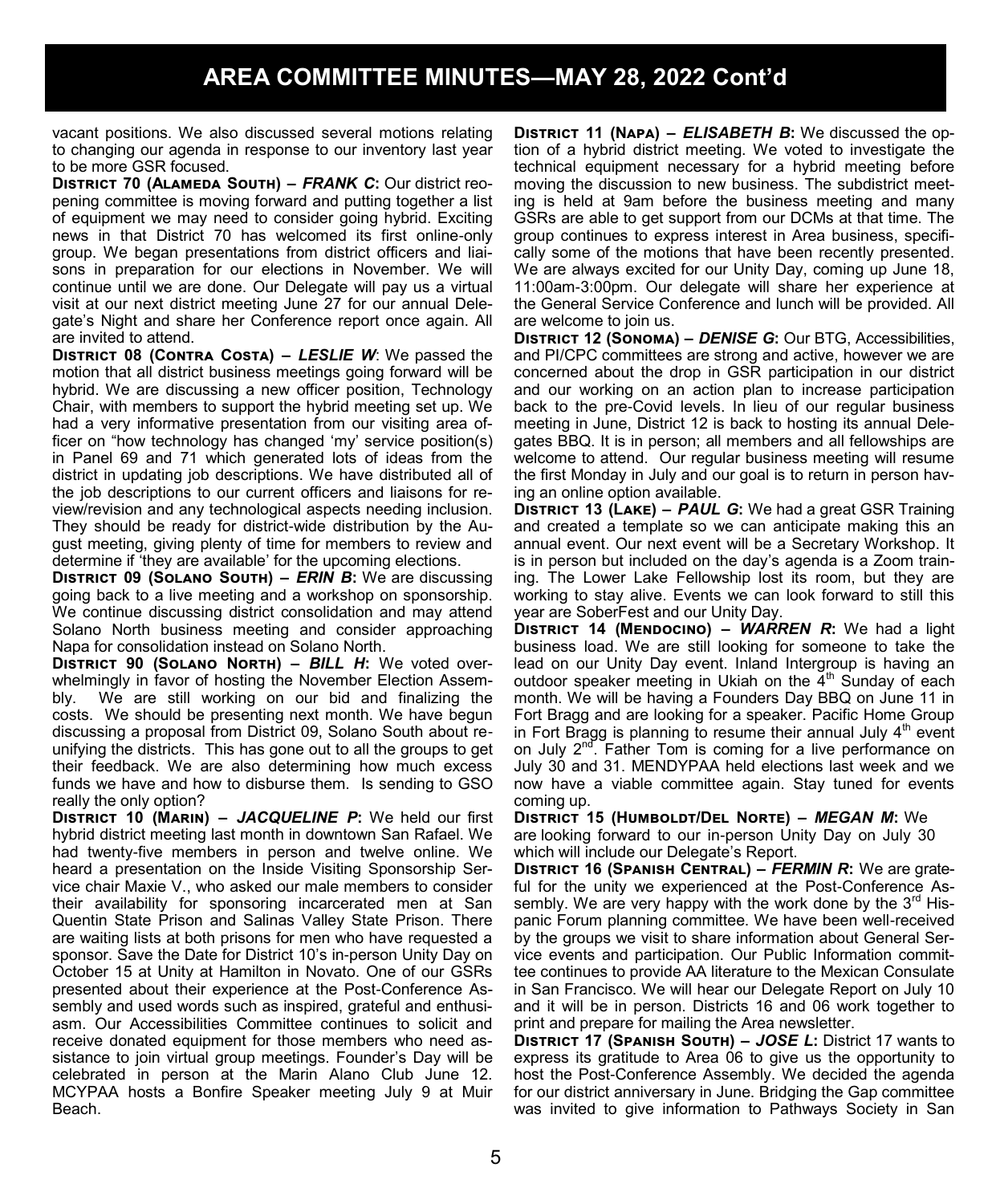vacant positions. We also discussed several motions relating to changing our agenda in response to our inventory last year to be more GSR focused.

**District 70 (Alameda South) –** *FRANK C***:** Our district reopening committee is moving forward and putting together a list of equipment we may need to consider going hybrid. Exciting news in that District 70 has welcomed its first online-only group. We began presentations from district officers and liaisons in preparation for our elections in November. We will continue until we are done. Our Delegate will pay us a virtual visit at our next district meeting June 27 for our annual Delegate's Night and share her Conference report once again. All are invited to attend.

**District 08 (Contra Costa) –** *LESLIE W*: We passed the motion that all district business meetings going forward will be hybrid. We are discussing a new officer position, Technology Chair, with members to support the hybrid meeting set up. We had a very informative presentation from our visiting area officer on "how technology has changed 'my' service position(s) in Panel 69 and 71 which generated lots of ideas from the district in updating job descriptions. We have distributed all of the job descriptions to our current officers and liaisons for review/revision and any technological aspects needing inclusion. They should be ready for district-wide distribution by the August meeting, giving plenty of time for members to review and determine if 'they are available' for the upcoming elections.

**District 09 (Solano South) –** *ERIN B***:** We are discussing going back to a live meeting and a workshop on sponsorship. We continue discussing district consolidation and may attend Solano North business meeting and consider approaching Napa for consolidation instead on Solano North.

**District 90 (Solano North) –** *BILL H***:** We voted overwhelmingly in favor of hosting the November Election Assembly. We are still working on our bid and finalizing the costs. We should be presenting next month. We have begun discussing a proposal from District 09, Solano South about reunifying the districts. This has gone out to all the groups to get their feedback. We are also determining how much excess funds we have and how to disburse them. Is sending to GSO really the only option?

**District 10 (Marin) –** *JACQUELINE P***:** We held our first hybrid district meeting last month in downtown San Rafael. We had twenty-five members in person and twelve online. We heard a presentation on the Inside Visiting Sponsorship Service chair Maxie V., who asked our male members to consider their availability for sponsoring incarcerated men at San Quentin State Prison and Salinas Valley State Prison. There are waiting lists at both prisons for men who have requested a sponsor. Save the Date for District 10's in-person Unity Day on October 15 at Unity at Hamilton in Novato. One of our GSRs presented about their experience at the Post-Conference Assembly and used words such as inspired, grateful and enthusiasm. Our Accessibilities Committee continues to solicit and receive donated equipment for those members who need assistance to join virtual group meetings. Founder's Day will be celebrated in person at the Marin Alano Club June 12. MCYPAA hosts a Bonfire Speaker meeting July 9 at Muir Beach.

**District 11 (Napa)** *– ELISABETH B***:** We discussed the option of a hybrid district meeting. We voted to investigate the technical equipment necessary for a hybrid meeting before moving the discussion to new business. The subdistrict meeting is held at 9am before the business meeting and many GSRs are able to get support from our DCMs at that time. The group continues to express interest in Area business, specifically some of the motions that have been recently presented. We are always excited for our Unity Day, coming up June 18, 11:00am-3:00pm. Our delegate will share her experience at the General Service Conference and lunch will be provided. All are welcome to join us.

**District 12 (Sonoma) –** *DENISE G***:** Our BTG, Accessibilities, and PI/CPC committees are strong and active, however we are concerned about the drop in GSR participation in our district and our working on an action plan to increase participation back to the pre-Covid levels. In lieu of our regular business meeting in June, District 12 is back to hosting its annual Delegates BBQ. It is in person; all members and all fellowships are welcome to attend. Our regular business meeting will resume the first Monday in July and our goal is to return in person having an online option available.

**District 13 (Lake) –** *PAUL G***:** We had a great GSR Training and created a template so we can anticipate making this an annual event. Our next event will be a Secretary Workshop. It is in person but included on the day's agenda is a Zoom training. The Lower Lake Fellowship lost its room, but they are working to stay alive. Events we can look forward to still this year are SoberFest and our Unity Day.

**District 14 (Mendocino) –** *WARREN R***:** We had a light business load. We are still looking for someone to take the lead on our Unity Day event. Inland Intergroup is having an outdoor speaker meeting in Ukiah on the  $4<sup>th</sup>$  Sunday of each month. We will be having a Founders Day BBQ on June 11 in Fort Bragg and are looking for a speaker. Pacific Home Group in Fort Bragg is planning to resume their annual July  $4<sup>th</sup>$  event on July 2<sup>nd</sup>. Father Tom is coming for a live performance on July 30 and 31. MENDYPAA held elections last week and we now have a viable committee again. Stay tuned for events coming up.

**District 15 (Humboldt/Del Norte) –** *MEGAN M***:** We are looking forward to our in-person Unity Day on July 30 which will include our Delegate's Report.

**District 16 (Spanish Central) –** *FERMIN R***:** We are grateful for the unity we experienced at the Post-Conference Assembly. We are very happy with the work done by the  $3<sup>rd</sup>$  Hispanic Forum planning committee. We have been well-received by the groups we visit to share information about General Service events and participation. Our Public Information committee continues to provide AA literature to the Mexican Consulate in San Francisco. We will hear our Delegate Report on July 10 and it will be in person. Districts 16 and 06 work together to print and prepare for mailing the Area newsletter.

**District 17 (Spanish South) –** *JOSE L***:** District 17 wants to express its gratitude to Area 06 to give us the opportunity to host the Post-Conference Assembly. We decided the agenda for our district anniversary in June. Bridging the Gap committee was invited to give information to Pathways Society in San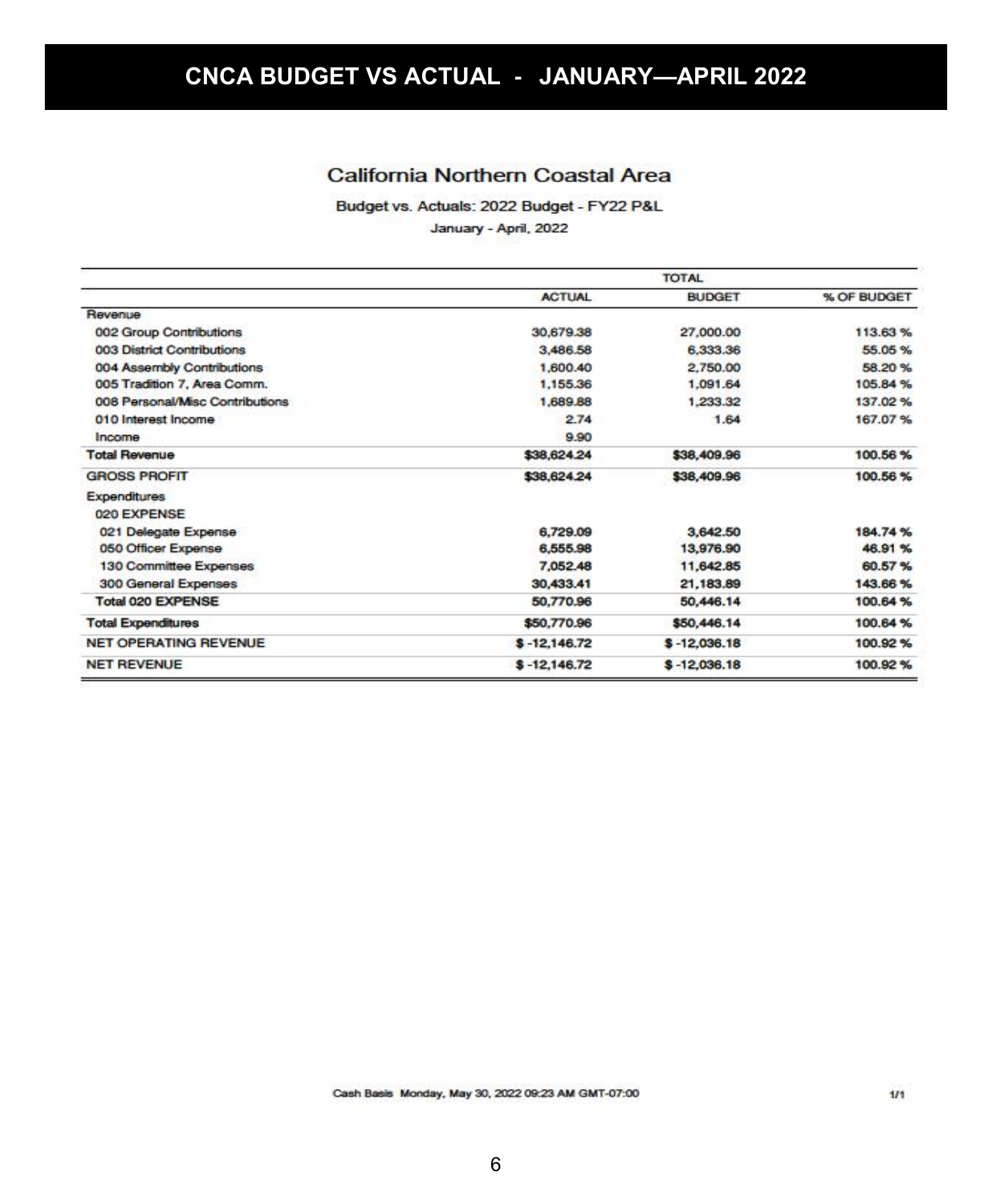### California Northern Coastal Area

Budget vs. Actuals: 2022 Budget - FY22 P&L

January - April, 2022

|                                 | <b>TOTAL</b>   |                |             |  |
|---------------------------------|----------------|----------------|-------------|--|
|                                 | <b>ACTUAL</b>  | <b>BUDGET</b>  | % OF BUDGET |  |
| Revenue                         |                |                |             |  |
| 002 Group Contributions         | 30,679,38      | 27,000.00      | 113,63%     |  |
| 003 District Contributions      | 3,486.58       | 6.333.36       | 55.05%      |  |
| 004 Assembly Contributions      | 1,600.40       | 2,750.00       | 58.20%      |  |
| 005 Tradition 7, Area Comm.     | 1,155.36       | 1.091.64       | 105.84 %    |  |
| 008 Personal/Misc Contributions | 1,689.88       | 1,233.32       | 137.02%     |  |
| 010 Interest Income             | 2.74           | 1.64           | 167.07%     |  |
| Income                          | 9.90           |                |             |  |
| <b>Total Revenue</b>            | \$38,624.24    | \$38,409.96    | 100.56%     |  |
| <b>GROSS PROFIT</b>             | \$38,624.24    | \$38,409.96    | 100.56%     |  |
| <b>Expenditures</b>             |                |                |             |  |
| 020 EXPENSE                     |                |                |             |  |
| 021 Delegate Expense            | 6,729.09       | 3,642.50       | 184.74%     |  |
| 050 Officer Expense             | 6,555.98       | 13,976.90      | 46.91%      |  |
| 130 Committee Expenses          | 7,052.48       | 11,642.85      | 60.57%      |  |
| 300 General Expenses            | 30,433.41      | 21,183.89      | 143.66%     |  |
| Total 020 EXPENSE               | 50,770.96      | 50,446.14      | 100.64%     |  |
| <b>Total Expenditures</b>       | \$50,770.96    | \$50,446.14    | 100.64%     |  |
| NET OPERATING REVENUE           | $$ -12,146.72$ | $$ -12,036.18$ | 100.92%     |  |
| <b>NET REVENUE</b>              | $$ -12,146.72$ | $$ -12,036.18$ | 100.92%     |  |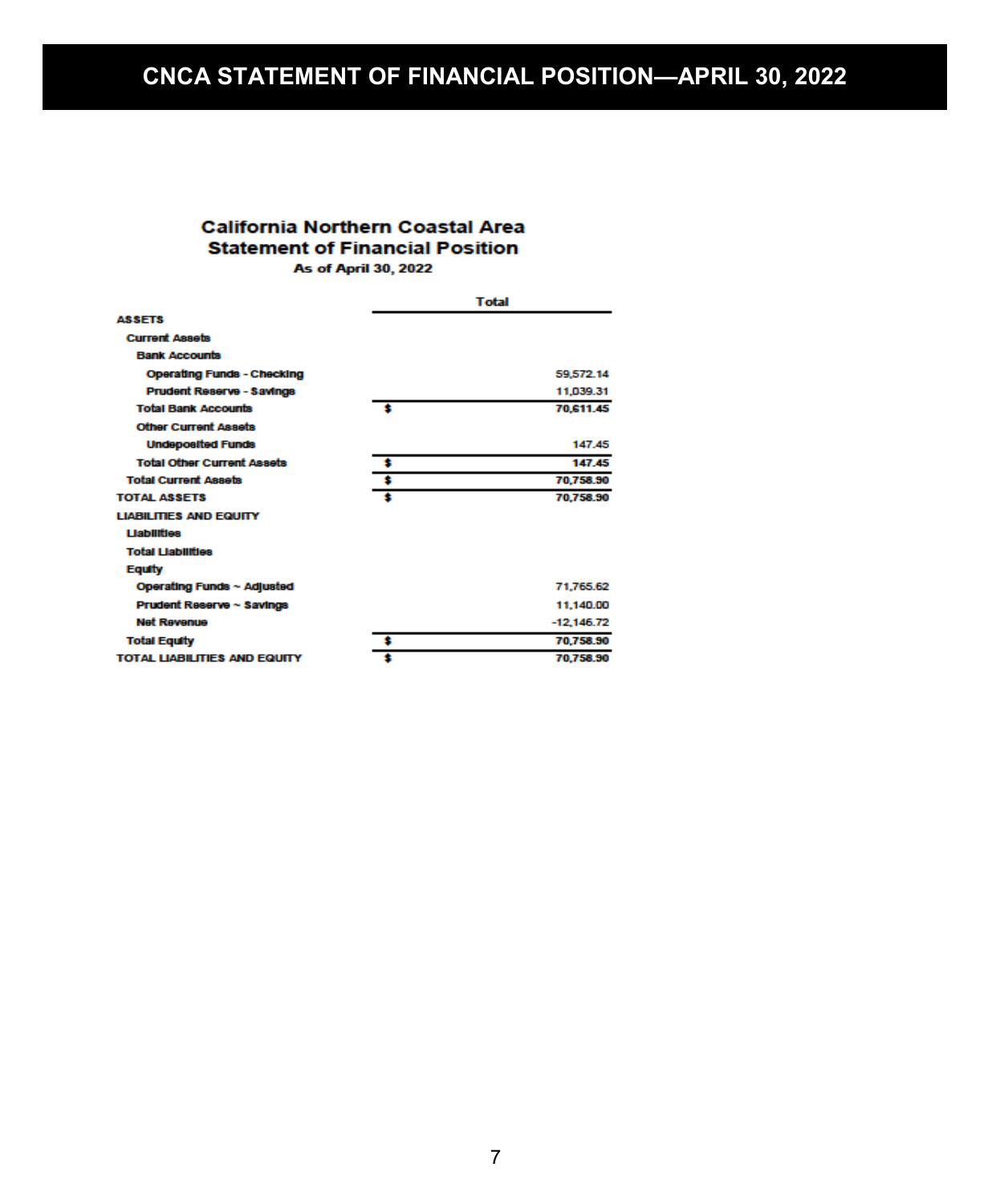# **CNCA STATEMENT OF FINANCIAL POSITION—APRIL 30, 2022**

### **California Northern Coastal Area Statement of Financial Position As of April 30, 2022**

|                                     | Total        |
|-------------------------------------|--------------|
| <b>ASSETS</b>                       |              |
| <b>Current Assets</b>               |              |
| <b>Bank Accounts</b>                |              |
| <b>Operating Funds - Checking</b>   | 59,572.14    |
| Prudent Reserve - Savings           | 11,039.31    |
| <b>Total Bank Accounts</b>          | 70,611.45    |
| <b>Other Current Assets</b>         |              |
| <b>Undeposited Funds</b>            | 147.45       |
| <b>Total Other Current Assets</b>   | 147.45       |
| <b>Total Current Assets</b>         | 70,758.90    |
| <b>TOTAL ASSETS</b>                 | 70,758.90    |
| <b>LIABILITIES AND EQUITY</b>       |              |
| <b>Liabilities</b>                  |              |
| <b>Total Liabilities</b>            |              |
| <b>Equity</b>                       |              |
| Operating Funds ~ Adjusted          | 71.765.62    |
| Prudent Reserve ~ Savings           | 11.140.00    |
| <b>Net Revenue</b>                  | $-12.146.72$ |
| <b>Total Equity</b>                 | 70,758.90    |
| <b>TOTAL LIABILITIES AND EQUITY</b> | 70,758.90    |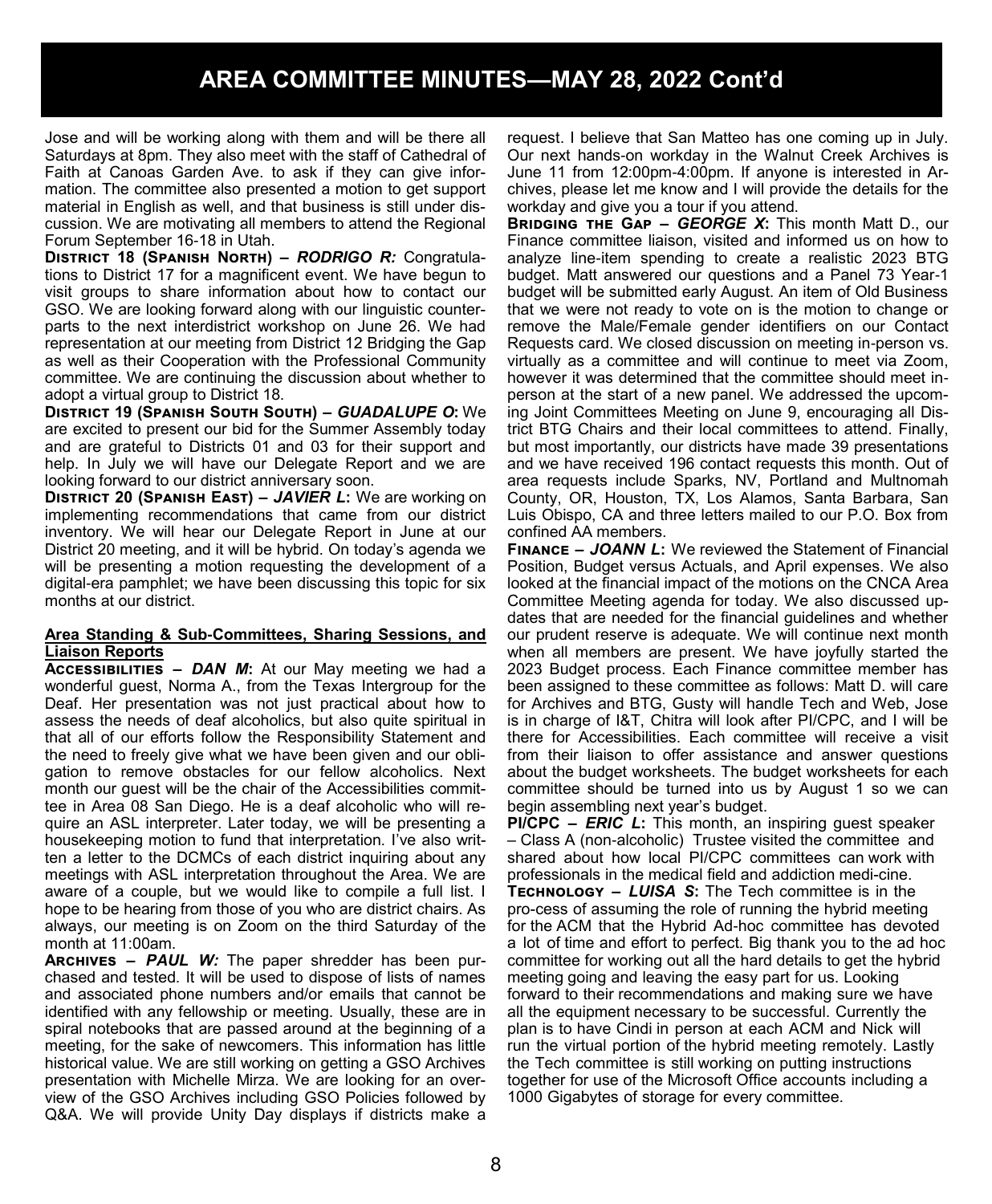Jose and will be working along with them and will be there all Saturdays at 8pm. They also meet with the staff of Cathedral of Faith at Canoas Garden Ave. to ask if they can give information. The committee also presented a motion to get support material in English as well, and that business is still under discussion. We are motivating all members to attend the Regional Forum September 16-18 in Utah.

**District 18 (Spanish North) –** *RODRIGO R:* Congratulations to District 17 for a magnificent event. We have begun to visit groups to share information about how to contact our GSO. We are looking forward along with our linguistic counterparts to the next interdistrict workshop on June 26. We had representation at our meeting from District 12 Bridging the Gap as well as their Cooperation with the Professional Community committee. We are continuing the discussion about whether to adopt a virtual group to District 18.

**District 19 (Spanish South South) –** *GUADALUPE O***:** We are excited to present our bid for the Summer Assembly today and are grateful to Districts 01 and 03 for their support and help. In July we will have our Delegate Report and we are looking forward to our district anniversary soon.

**District 20 (Spanish East) –** *JAVIER L***:** We are working on implementing recommendations that came from our district inventory. We will hear our Delegate Report in June at our District 20 meeting, and it will be hybrid. On today's agenda we will be presenting a motion requesting the development of a digital-era pamphlet; we have been discussing this topic for six months at our district.

#### **Area Standing & Sub-Committees, Sharing Sessions, and Liaison Reports**

**Accessibilities –** *DAN M***:** At our May meeting we had a wonderful guest, Norma A., from the Texas Intergroup for the Deaf. Her presentation was not just practical about how to assess the needs of deaf alcoholics, but also quite spiritual in that all of our efforts follow the Responsibility Statement and the need to freely give what we have been given and our obligation to remove obstacles for our fellow alcoholics. Next month our guest will be the chair of the Accessibilities committee in Area 08 San Diego. He is a deaf alcoholic who will require an ASL interpreter. Later today, we will be presenting a housekeeping motion to fund that interpretation. I've also written a letter to the DCMCs of each district inquiring about any meetings with ASL interpretation throughout the Area. We are aware of a couple, but we would like to compile a full list. I hope to be hearing from those of you who are district chairs. As always, our meeting is on Zoom on the third Saturday of the month at 11:00am.

**Archives –** *PAUL W:* The paper shredder has been purchased and tested. It will be used to dispose of lists of names and associated phone numbers and/or emails that cannot be identified with any fellowship or meeting. Usually, these are in spiral notebooks that are passed around at the beginning of a meeting, for the sake of newcomers. This information has little historical value. We are still working on getting a GSO Archives presentation with Michelle Mirza. We are looking for an overview of the GSO Archives including GSO Policies followed by Q&A. We will provide Unity Day displays if districts make a request. I believe that San Matteo has one coming up in July. Our next hands-on workday in the Walnut Creek Archives is June 11 from 12:00pm-4:00pm. If anyone is interested in Archives, please let me know and I will provide the details for the workday and give you a tour if you attend.

**Bridging the Gap –** *GEORGE X***:** This month Matt D., our Finance committee liaison, visited and informed us on how to analyze line-item spending to create a realistic 2023 BTG budget. Matt answered our questions and a Panel 73 Year-1 budget will be submitted early August. An item of Old Business that we were not ready to vote on is the motion to change or remove the Male/Female gender identifiers on our Contact Requests card. We closed discussion on meeting in-person vs. virtually as a committee and will continue to meet via Zoom, however it was determined that the committee should meet inperson at the start of a new panel. We addressed the upcoming Joint Committees Meeting on June 9, encouraging all District BTG Chairs and their local committees to attend. Finally, but most importantly, our districts have made 39 presentations and we have received 196 contact requests this month. Out of area requests include Sparks, NV, Portland and Multnomah County, OR, Houston, TX, Los Alamos, Santa Barbara, San Luis Obispo, CA and three letters mailed to our P.O. Box from confined AA members.

**Finance –** *JOANN L***:** We reviewed the Statement of Financial Position, Budget versus Actuals, and April expenses. We also looked at the financial impact of the motions on the CNCA Area Committee Meeting agenda for today. We also discussed updates that are needed for the financial guidelines and whether our prudent reserve is adequate. We will continue next month when all members are present. We have joyfully started the 2023 Budget process. Each Finance committee member has been assigned to these committee as follows: Matt D. will care for Archives and BTG, Gusty will handle Tech and Web, Jose is in charge of I&T, Chitra will look after PI/CPC, and I will be there for Accessibilities. Each committee will receive a visit from their liaison to offer assistance and answer questions about the budget worksheets. The budget worksheets for each committee should be turned into us by August 1 so we can begin assembling next year's budget.

**PI/CPC –** *ERIC L***:** This month, an inspiring guest speaker – Class A (non-alcoholic) Trustee visited the committee and shared about how local PI/CPC committees can work with professionals in the medical field and addiction medi-cine. **Technology –** *LUISA S***:** The Tech committee is in the pro-cess of assuming the role of running the hybrid meeting for the ACM that the Hybrid Ad-hoc committee has devoted a lot of time and effort to perfect. Big thank you to the ad hoc committee for working out all the hard details to get the hybrid meeting going and leaving the easy part for us. Looking forward to their recommendations and making sure we have all the equipment necessary to be successful. Currently the plan is to have Cindi in person at each ACM and Nick will run the virtual portion of the hybrid meeting remotely. Lastly the Tech committee is still working on putting instructions together for use of the Microsoft Office accounts including a 1000 Gigabytes of storage for every committee.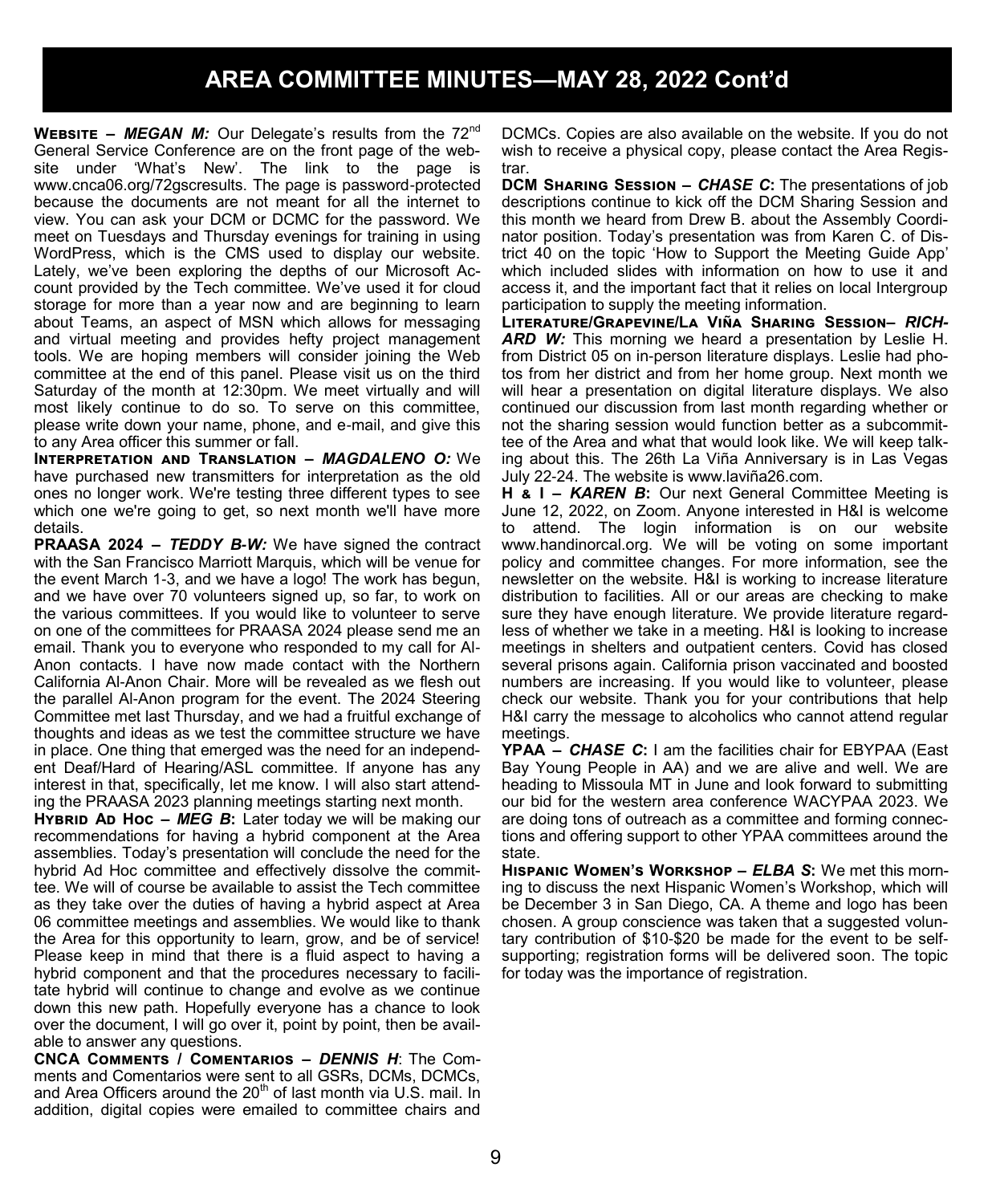**WEBSITE** – **MEGAN M:** Our Delegate's results from the 72<sup>nd</sup> General Service Conference are on the front page of the website under 'What's New'. The link to the page is www.cnca06.org/72gscresults. The page is password-protected because the documents are not meant for all the internet to view. You can ask your DCM or DCMC for the password. We meet on Tuesdays and Thursday evenings for training in using WordPress, which is the CMS used to display our website. Lately, we've been exploring the depths of our Microsoft Account provided by the Tech committee. We've used it for cloud storage for more than a year now and are beginning to learn about Teams, an aspect of MSN which allows for messaging and virtual meeting and provides hefty project management tools. We are hoping members will consider joining the Web committee at the end of this panel. Please visit us on the third Saturday of the month at 12:30pm. We meet virtually and will most likely continue to do so. To serve on this committee, please write down your name, phone, and e-mail, and give this to any Area officer this summer or fall.

**Interpretation and Translation –** *MAGDALENO O:* We have purchased new transmitters for interpretation as the old ones no longer work. We're testing three different types to see which one we're going to get, so next month we'll have more details.

**PRAASA 2024 –** *TEDDY B-W:* We have signed the contract with the San Francisco Marriott Marquis, which will be venue for the event March 1-3, and we have a logo! The work has begun, and we have over 70 volunteers signed up, so far, to work on the various committees. If you would like to volunteer to serve on one of the committees for PRAASA 2024 please send me an email. Thank you to everyone who responded to my call for Al-Anon contacts. I have now made contact with the Northern California Al-Anon Chair. More will be revealed as we flesh out the parallel Al-Anon program for the event. The 2024 Steering Committee met last Thursday, and we had a fruitful exchange of thoughts and ideas as we test the committee structure we have in place. One thing that emerged was the need for an independent Deaf/Hard of Hearing/ASL committee. If anyone has any interest in that, specifically, let me know. I will also start attending the PRAASA 2023 planning meetings starting next month.

**HYBRID AD HOC – MEG B:** Later today we will be making our recommendations for having a hybrid component at the Area assemblies. Today's presentation will conclude the need for the hybrid Ad Hoc committee and effectively dissolve the committee. We will of course be available to assist the Tech committee as they take over the duties of having a hybrid aspect at Area 06 committee meetings and assemblies. We would like to thank the Area for this opportunity to learn, grow, and be of service! Please keep in mind that there is a fluid aspect to having a hybrid component and that the procedures necessary to facilitate hybrid will continue to change and evolve as we continue down this new path. Hopefully everyone has a chance to look over the document, I will go over it, point by point, then be available to answer any questions.

**CNCA Comments / Comentarios –** *DENNIS H*: The Comments and Comentarios were sent to all GSRs, DCMs, DCMCs, and Area Officers around the  $20<sup>th</sup>$  of last month via U.S. mail. In addition, digital copies were emailed to committee chairs and

DCMCs. Copies are also available on the website. If you do not wish to receive a physical copy, please contact the Area Registrar.

**DCM Sharing Session –** *CHASE C***:** The presentations of job descriptions continue to kick off the DCM Sharing Session and this month we heard from Drew B. about the Assembly Coordinator position. Today's presentation was from Karen C. of District 40 on the topic 'How to Support the Meeting Guide App' which included slides with information on how to use it and access it, and the important fact that it relies on local Intergroup participation to supply the meeting information.

**Literature/Grapevine/La Viña Sharing Session–** *RICH-*ARD W: This morning we heard a presentation by Leslie H. from District 05 on in-person literature displays. Leslie had photos from her district and from her home group. Next month we will hear a presentation on digital literature displays. We also continued our discussion from last month regarding whether or not the sharing session would function better as a subcommittee of the Area and what that would look like. We will keep talking about this. The 26th La Viña Anniversary is in Las Vegas July 22-24. The website is www.laviña26.com.

**H & I –** *KAREN B***:** Our next General Committee Meeting is June 12, 2022, on Zoom. Anyone interested in H&I is welcome to attend. The login information is on our website www.handinorcal.org. We will be voting on some important policy and committee changes. For more information, see the newsletter on the website. H&I is working to increase literature distribution to facilities. All or our areas are checking to make sure they have enough literature. We provide literature regardless of whether we take in a meeting. H&I is looking to increase meetings in shelters and outpatient centers. Covid has closed several prisons again. California prison vaccinated and boosted numbers are increasing. If you would like to volunteer, please check our website. Thank you for your contributions that help H&I carry the message to alcoholics who cannot attend regular meetings.

**YPAA –** *CHASE C***:** I am the facilities chair for EBYPAA (East Bay Young People in AA) and we are alive and well. We are heading to Missoula MT in June and look forward to submitting our bid for the western area conference WACYPAA 2023. We are doing tons of outreach as a committee and forming connections and offering support to other YPAA committees around the state.

**Hispanic Women's Workshop –** *ELBA S***:** We met this morning to discuss the next Hispanic Women's Workshop, which will be December 3 in San Diego, CA. A theme and logo has been chosen. A group conscience was taken that a suggested voluntary contribution of \$10-\$20 be made for the event to be selfsupporting; registration forms will be delivered soon. The topic for today was the importance of registration.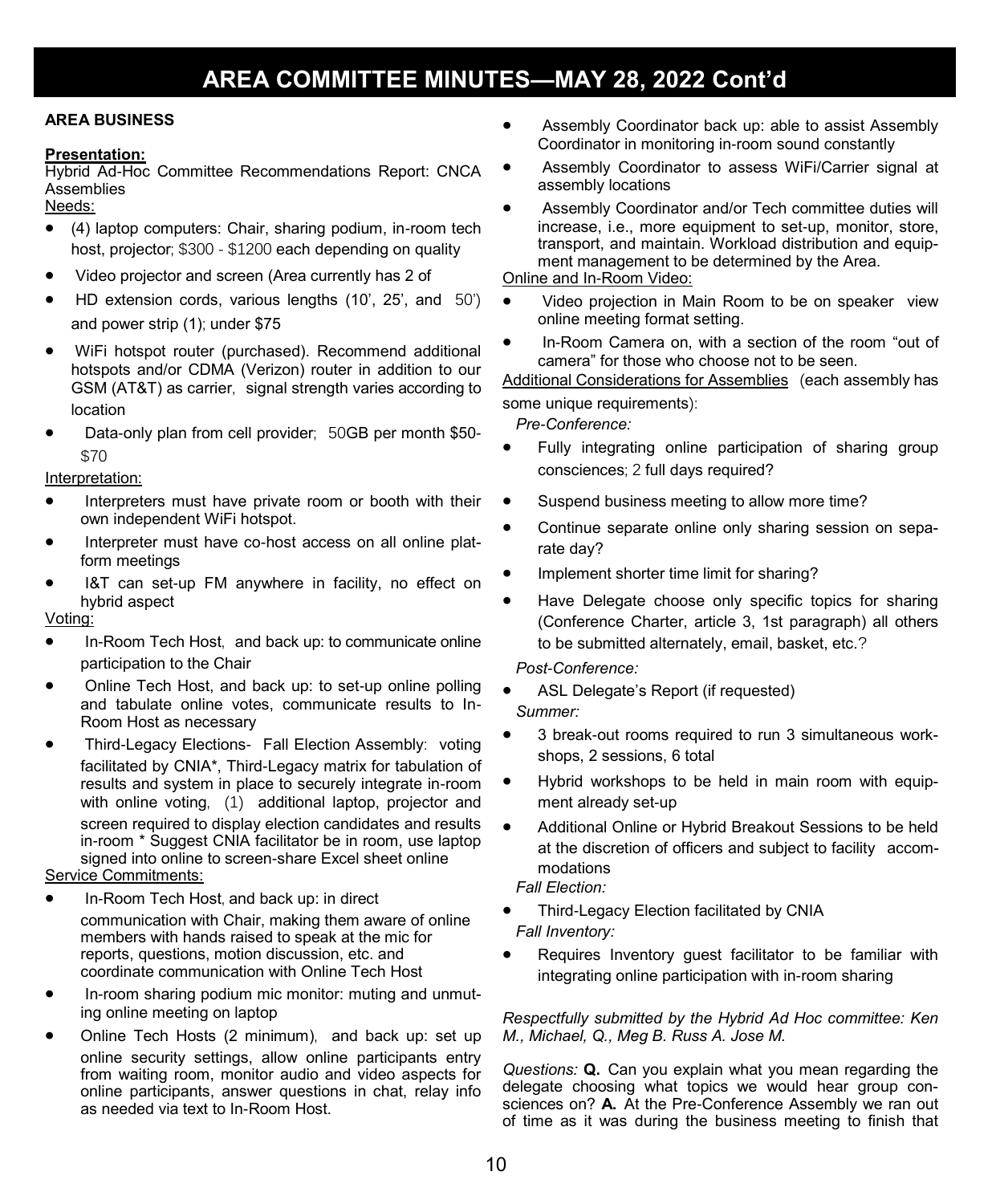### **AREA BUSINESS**

#### **Presentation:**

Hybrid Ad-Hoc Committee Recommendations Report: CNCA **Assemblies** 

Needs:

- (4) laptop computers: Chair, sharing podium, in-room tech host, projector; \$300 - \$1200 each depending on quality
- Video projector and screen (Area currently has 2 of
- HD extension cords, various lengths (10', 25', and 50') and power strip (1); under \$75
- WiFi hotspot router (purchased). Recommend additional hotspots and/or CDMA (Verizon) router in addition to our GSM (AT&T) as carrier, signal strength varies according to location
- Data-only plan from cell provider; 50GB per month \$50- \$70

Interpretation:

- Interpreters must have private room or booth with their own independent WiFi hotspot.
- Interpreter must have co-host access on all online platform meetings
- I&T can set-up FM anywhere in facility, no effect on hybrid aspect

### Voting:

- In-Room Tech Host, and back up: to communicate online participation to the Chair
- Online Tech Host, and back up: to set-up online polling and tabulate online votes, communicate results to In-Room Host as necessary
- Third-Legacy Elections- Fall Election Assembly: voting facilitated by CNIA\*, Third-Legacy matrix for tabulation of results and system in place to securely integrate in-room with online voting, (1) additional laptop, projector and screen required to display election candidates and results in-room \* Suggest CNIA facilitator be in room, use laptop signed into online to screen-share Excel sheet online

### Service Commitments:

- In-Room Tech Host, and back up: in direct communication with Chair, making them aware of online members with hands raised to speak at the mic for reports, questions, motion discussion, etc. and coordinate communication with Online Tech Host
- In-room sharing podium mic monitor: muting and unmuting online meeting on laptop
- Online Tech Hosts (2 minimum), and back up: set up online security settings, allow online participants entry from waiting room, monitor audio and video aspects for online participants, answer questions in chat, relay info as needed via text to In-Room Host.
- Assembly Coordinator back up: able to assist Assembly Coordinator in monitoring in-room sound constantly
- Assembly Coordinator to assess WiFi/Carrier signal at assembly locations
- Assembly Coordinator and/or Tech committee duties will increase, i.e., more equipment to set-up, monitor, store, transport, and maintain. Workload distribution and equipment management to be determined by the Area.

### Online and In-Room Video:

- Video projection in Main Room to be on speaker view online meeting format setting.
- In-Room Camera on, with a section of the room "out of camera" for those who choose not to be seen.

Additional Considerations for Assemblies (each assembly has some unique requirements):

*Pre-Conference:* 

- Fully integrating online participation of sharing group consciences; 2 full days required?
- Suspend business meeting to allow more time?
- Continue separate online only sharing session on separate day?
- Implement shorter time limit for sharing?
- Have Delegate choose only specific topics for sharing (Conference Charter, article 3, 1st paragraph) all others to be submitted alternately, email, basket, etc.?

#### *Post-Conference:*

- ASL Delegate's Report (if requested) *Summer:*
- 3 break-out rooms required to run 3 simultaneous workshops, 2 sessions, 6 total
- Hybrid workshops to be held in main room with equipment already set-up
- Additional Online or Hybrid Breakout Sessions to be held at the discretion of officers and subject to facility accommodations

*Fall Election:*

- Third-Legacy Election facilitated by CNIA *Fall Inventory:*
- Requires Inventory guest facilitator to be familiar with integrating online participation with in-room sharing

#### *Respectfully submitted by the Hybrid Ad Hoc committee: Ken M., Michael, Q., Meg B. Russ A. Jose M.*

*Questions:* **Q.** Can you explain what you mean regarding the delegate choosing what topics we would hear group consciences on? **A.** At the Pre-Conference Assembly we ran out of time as it was during the business meeting to finish that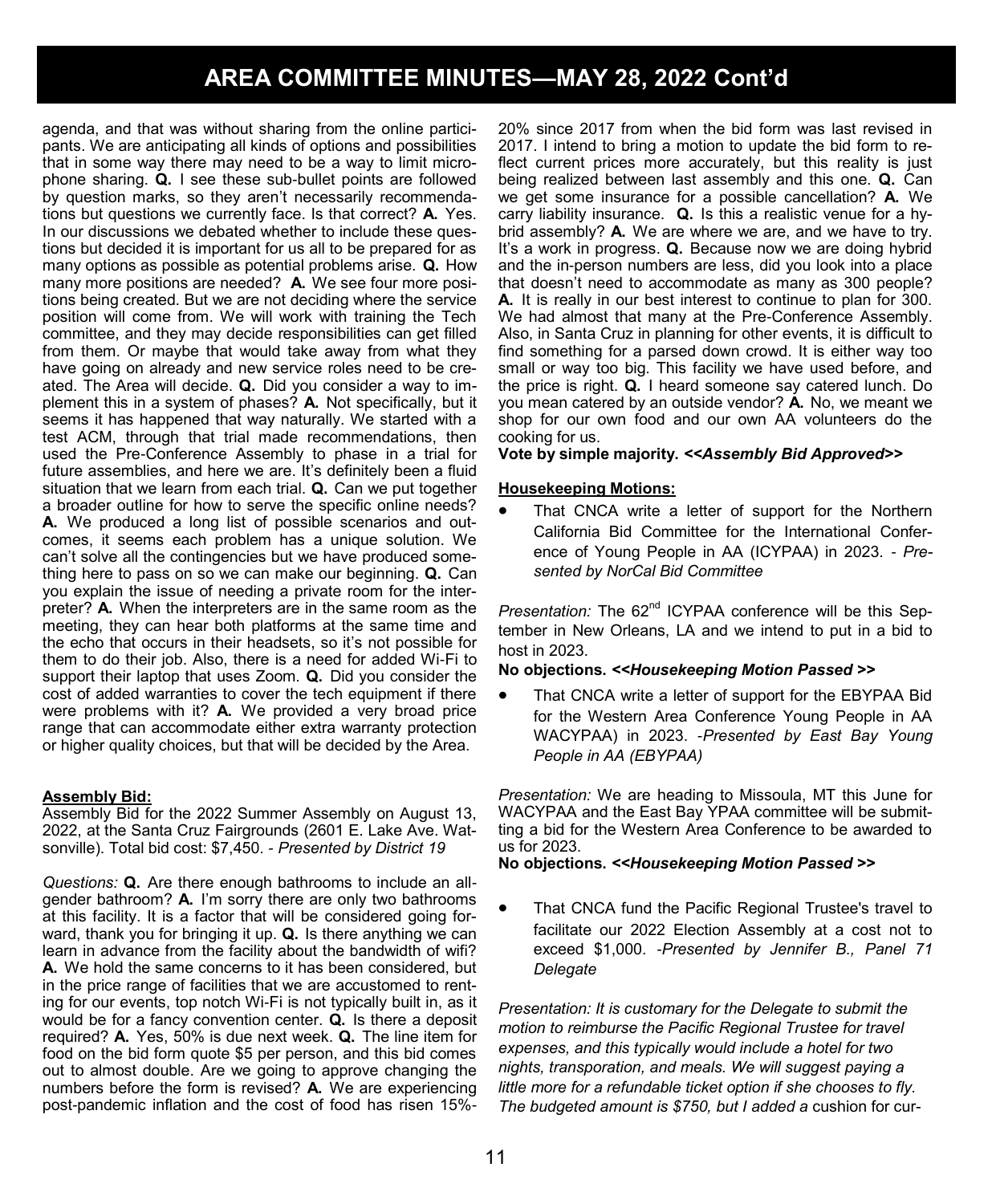agenda, and that was without sharing from the online participants. We are anticipating all kinds of options and possibilities that in some way there may need to be a way to limit microphone sharing. **Q.** I see these sub-bullet points are followed by question marks, so they aren't necessarily recommendations but questions we currently face. Is that correct? **A.** Yes. In our discussions we debated whether to include these questions but decided it is important for us all to be prepared for as many options as possible as potential problems arise. **Q.** How many more positions are needed? **A.** We see four more positions being created. But we are not deciding where the service position will come from. We will work with training the Tech committee, and they may decide responsibilities can get filled from them. Or maybe that would take away from what they have going on already and new service roles need to be created. The Area will decide. **Q.** Did you consider a way to implement this in a system of phases? **A.** Not specifically, but it seems it has happened that way naturally. We started with a test ACM, through that trial made recommendations, then used the Pre-Conference Assembly to phase in a trial for future assemblies, and here we are. It's definitely been a fluid situation that we learn from each trial. **Q.** Can we put together a broader outline for how to serve the specific online needs? **A.** We produced a long list of possible scenarios and outcomes, it seems each problem has a unique solution. We can't solve all the contingencies but we have produced something here to pass on so we can make our beginning. **Q.** Can you explain the issue of needing a private room for the interpreter? **A.** When the interpreters are in the same room as the meeting, they can hear both platforms at the same time and the echo that occurs in their headsets, so it's not possible for them to do their job. Also, there is a need for added Wi-Fi to support their laptop that uses Zoom. **Q.** Did you consider the cost of added warranties to cover the tech equipment if there were problems with it? **A.** We provided a very broad price range that can accommodate either extra warranty protection or higher quality choices, but that will be decided by the Area.

#### **Assembly Bid:**

Assembly Bid for the 2022 Summer Assembly on August 13, 2022, at the Santa Cruz Fairgrounds (2601 E. Lake Ave. Watsonville). Total bid cost: \$7,450. *- Presented by District 19*

*Questions:* **Q.** Are there enough bathrooms to include an allgender bathroom? **A.** I'm sorry there are only two bathrooms at this facility. It is a factor that will be considered going forward, thank you for bringing it up. **Q.** Is there anything we can learn in advance from the facility about the bandwidth of wifi? **A.** We hold the same concerns to it has been considered, but in the price range of facilities that we are accustomed to renting for our events, top notch Wi-Fi is not typically built in, as it would be for a fancy convention center. **Q.** Is there a deposit required? **A.** Yes, 50% is due next week. **Q.** The line item for food on the bid form quote \$5 per person, and this bid comes out to almost double. Are we going to approve changing the numbers before the form is revised? **A.** We are experiencing post-pandemic inflation and the cost of food has risen 15%-

20% since 2017 from when the bid form was last revised in 2017. I intend to bring a motion to update the bid form to reflect current prices more accurately, but this reality is just being realized between last assembly and this one. **Q.** Can we get some insurance for a possible cancellation? **A.** We carry liability insurance. **Q.** Is this a realistic venue for a hybrid assembly? **A.** We are where we are, and we have to try. It's a work in progress. **Q.** Because now we are doing hybrid and the in-person numbers are less, did you look into a place that doesn't need to accommodate as many as 300 people? **A.** It is really in our best interest to continue to plan for 300. We had almost that many at the Pre-Conference Assembly. Also, in Santa Cruz in planning for other events, it is difficult to find something for a parsed down crowd. It is either way too small or way too big. This facility we have used before, and the price is right. **Q.** I heard someone say catered lunch. Do you mean catered by an outside vendor? **A.** No, we meant we shop for our own food and our own AA volunteers do the cooking for us.

**Vote by simple majority.** *<<Assembly Bid Approved>>*

#### **Housekeeping Motions:**

That CNCA write a letter of support for the Northern California Bid Committee for the International Conference of Young People in AA (ICYPAA) in 2023. *- Presented by NorCal Bid Committee*

*Presentation:* The 62nd ICYPAA conference will be this September in New Orleans, LA and we intend to put in a bid to host in 2023.

#### **No objections.** *<<Housekeeping Motion Passed >>*

That CNCA write a letter of support for the EBYPAA Bid for the Western Area Conference Young People in AA WACYPAA) in 2023. -*Presented by East Bay Young People in AA (EBYPAA)*

*Presentation:* We are heading to Missoula, MT this June for WACYPAA and the East Bay YPAA committee will be submitting a bid for the Western Area Conference to be awarded to us for 2023.

#### **No objections.** *<<Housekeeping Motion Passed >>*

• That CNCA fund the Pacific Regional Trustee's travel to facilitate our 2022 Election Assembly at a cost not to exceed \$1,000. *-Presented by Jennifer B., Panel 71 Delegate*

*Presentation: It is customary for the Delegate to submit the motion to reimburse the Pacific Regional Trustee for travel expenses, and this typically would include a hotel for two nights, transporation, and meals. We will suggest paying a little more for a refundable ticket option if she chooses to fly. The budgeted amount is \$750, but I added a* cushion for cur-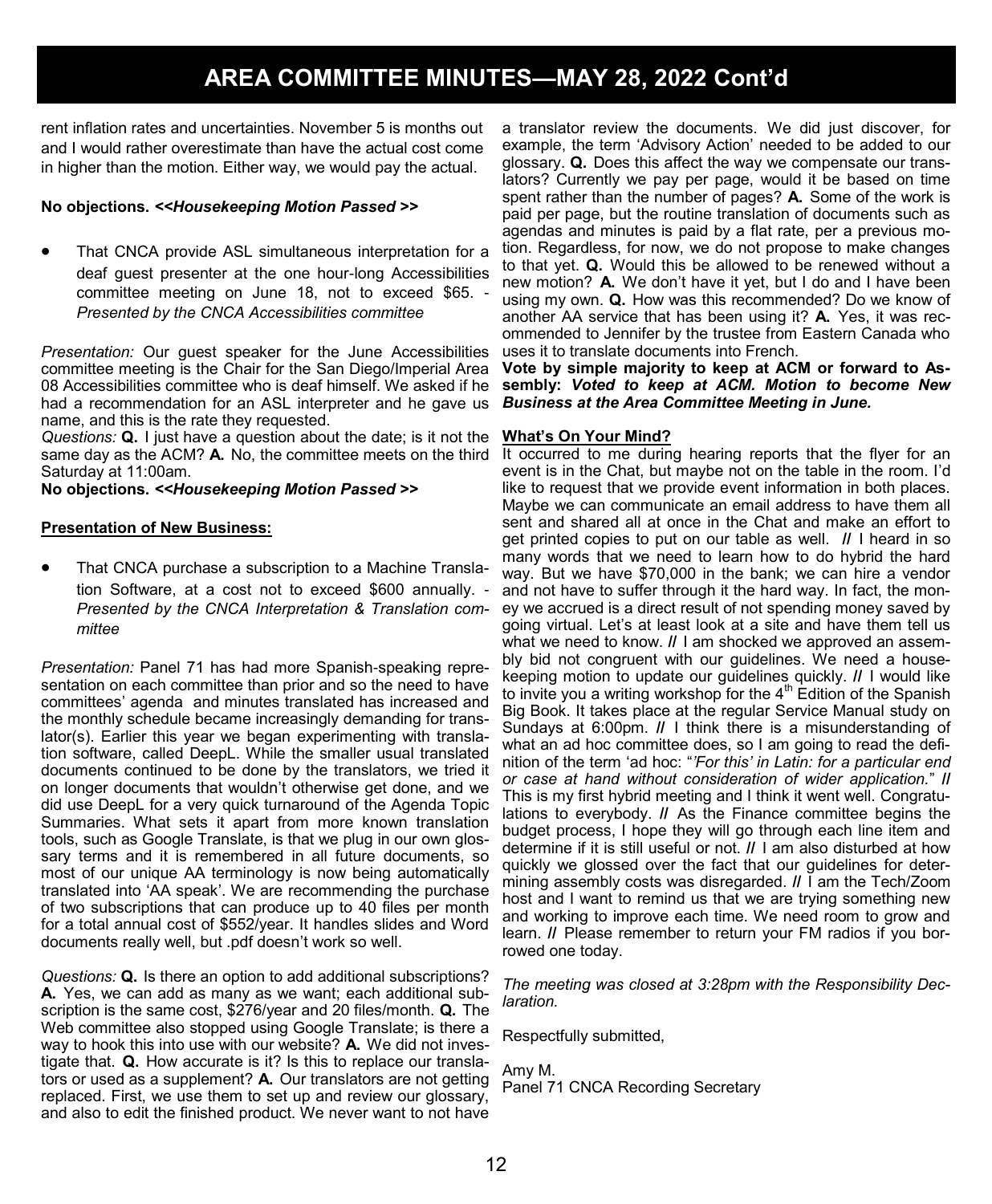rent inflation rates and uncertainties. November 5 is months out and I would rather overestimate than have the actual cost come in higher than the motion. Either way, we would pay the actual.

#### **No objections.** *<<Housekeeping Motion Passed >>*

• That CNCA provide ASL simultaneous interpretation for a deaf guest presenter at the one hour-long Accessibilities committee meeting on June 18, not to exceed \$65. - *Presented by the CNCA Accessibilities committee*

*Presentation:* Our guest speaker for the June Accessibilities committee meeting is the Chair for the San Diego/Imperial Area 08 Accessibilities committee who is deaf himself. We asked if he had a recommendation for an ASL interpreter and he gave us name, and this is the rate they requested.

*Questions:* **Q.** I just have a question about the date; is it not the same day as the ACM? A. No, the committee meets on the third It occurred to me during hearing reports that the flyer for an Saturday at 11:00am.

**No objections.** *<<Housekeeping Motion Passed >>*

#### **Presentation of New Business:**

• That CNCA purchase a subscription to a Machine Translation Software, at a cost not to exceed \$600 annually. - *Presented by the CNCA Interpretation & Translation committee*

*Presentation:* Panel 71 has had more Spanish-speaking representation on each committee than prior and so the need to have committees' agenda and minutes translated has increased and the monthly schedule became increasingly demanding for translator(s). Earlier this year we began experimenting with translation software, called DeepL. While the smaller usual translated documents continued to be done by the translators, we tried it on longer documents that wouldn't otherwise get done, and we did use DeepL for a very quick turnaround of the Agenda Topic Summaries. What sets it apart from more known translation tools, such as Google Translate, is that we plug in our own glossary terms and it is remembered in all future documents, so most of our unique AA terminology is now being automatically translated into 'AA speak'. We are recommending the purchase of two subscriptions that can produce up to 40 files per month for a total annual cost of \$552/year. It handles slides and Word documents really well, but .pdf doesn't work so well.

*Questions:* **Q.** Is there an option to add additional subscriptions? **A.** Yes, we can add as many as we want; each additional subscription is the same cost, \$276/year and 20 files/month. **Q.** The Web committee also stopped using Google Translate; is there a way to hook this into use with our website? **A.** We did not investigate that. **Q.** How accurate is it? Is this to replace our translators or used as a supplement? **A.** Our translators are not getting replaced. First, we use them to set up and review our glossary, and also to edit the finished product. We never want to not have

a translator review the documents. We did just discover, for example, the term 'Advisory Action' needed to be added to our glossary. **Q.** Does this affect the way we compensate our translators? Currently we pay per page, would it be based on time spent rather than the number of pages? **A.** Some of the work is paid per page, but the routine translation of documents such as agendas and minutes is paid by a flat rate, per a previous motion. Regardless, for now, we do not propose to make changes to that yet. **Q.** Would this be allowed to be renewed without a new motion? **A.** We don't have it yet, but I do and I have been using my own. **Q.** How was this recommended? Do we know of another AA service that has been using it? **A.** Yes, it was recommended to Jennifer by the trustee from Eastern Canada who uses it to translate documents into French.

**Vote by simple majority to keep at ACM or forward to Assembly:** *Voted to keep at ACM. Motion to become New Business at the Area Committee Meeting in June.*

#### **What's On Your Mind?**

event is in the Chat, but maybe not on the table in the room. I'd like to request that we provide event information in both places. Maybe we can communicate an email address to have them all sent and shared all at once in the Chat and make an effort to get printed copies to put on our table as well. **//** I heard in so many words that we need to learn how to do hybrid the hard way. But we have \$70,000 in the bank; we can hire a vendor and not have to suffer through it the hard way. In fact, the money we accrued is a direct result of not spending money saved by going virtual. Let's at least look at a site and have them tell us what we need to know. **//** I am shocked we approved an assembly bid not congruent with our guidelines. We need a housekeeping motion to update our guidelines quickly. **//** I would like to invite you a writing workshop for the  $4<sup>th</sup>$  Edition of the Spanish Big Book. It takes place at the regular Service Manual study on Sundays at 6:00pm. **//** I think there is a misunderstanding of what an ad hoc committee does, so I am going to read the definition of the term 'ad hoc: "*'For this' in Latin: for a particular end or case at hand without consideration of wider application.*" **//**  This is my first hybrid meeting and I think it went well. Congratulations to everybody. **//** As the Finance committee begins the budget process, I hope they will go through each line item and determine if it is still useful or not. **//** I am also disturbed at how quickly we glossed over the fact that our guidelines for determining assembly costs was disregarded. **//** I am the Tech/Zoom host and I want to remind us that we are trying something new and working to improve each time. We need room to grow and learn. **//** Please remember to return your FM radios if you borrowed one today.

*The meeting was closed at 3:28pm with the Responsibility Declaration.*

Respectfully submitted,

Amy M. Panel 71 CNCA Recording Secretary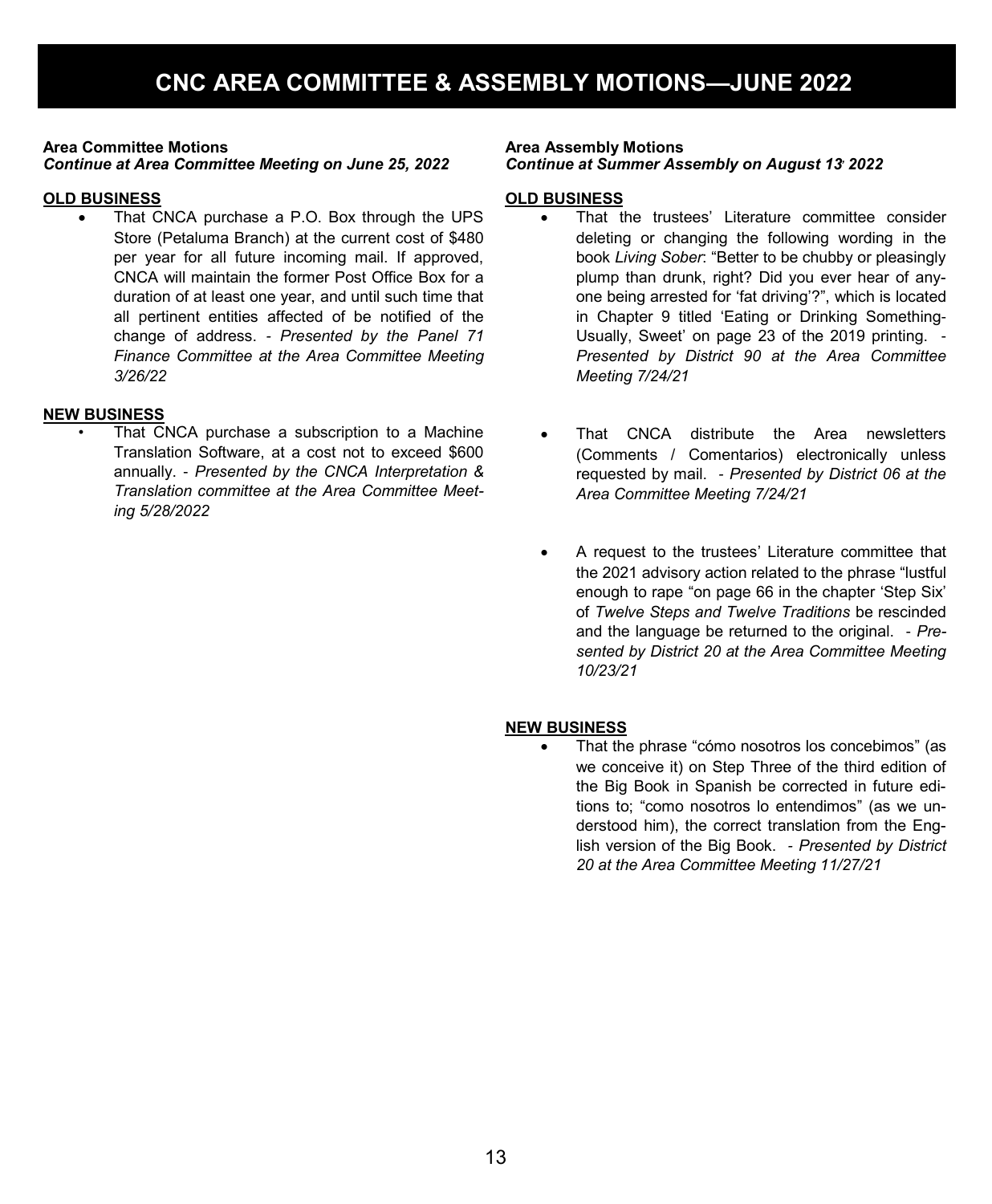#### **Area Committee Motions** *Continue at Area Committee Meeting on June 25, 2022*

### **OLD BUSINESS**

• That CNCA purchase a P.O. Box through the UPS Store (Petaluma Branch) at the current cost of \$480 per year for all future incoming mail. If approved, CNCA will maintain the former Post Office Box for a duration of at least one year, and until such time that all pertinent entities affected of be notified of the change of address. *- Presented by the Panel 71 Finance Committee at the Area Committee Meeting 3/26/22*

### **NEW BUSINESS**

That CNCA purchase a subscription to a Machine Translation Software, at a cost not to exceed \$600 annually. - *Presented by the CNCA Interpretation & Translation committee at the Area Committee Meeting 5/28/2022*

### **Area Assembly Motions**

### *Continue at Summer Assembly on August 13, 2022*

#### **OLD BUSINESS**

- That the trustees' Literature committee consider deleting or changing the following wording in the book *Living Sober*: "Better to be chubby or pleasingly plump than drunk, right? Did you ever hear of anyone being arrested for 'fat driving'?", which is located in Chapter 9 titled 'Eating or Drinking Something-Usually, Sweet' on page 23 of the 2019 printing. - *Presented by District 90 at the Area Committee Meeting 7/24/21*
	- That CNCA distribute the Area newsletters (Comments / Comentarios) electronically unless requested by mail. *- Presented by District 06 at the Area Committee Meeting 7/24/21*
- A request to the trustees' Literature committee that the 2021 advisory action related to the phrase "lustful enough to rape "on page 66 in the chapter 'Step Six' of *Twelve Steps and Twelve Traditions* be rescinded and the language be returned to the original. - *Presented by District 20 at the Area Committee Meeting 10/23/21*

### **NEW BUSINESS**

• That the phrase "cómo nosotros los concebimos" (as we conceive it) on Step Three of the third edition of the Big Book in Spanish be corrected in future editions to; "como nosotros lo entendimos" (as we understood him), the correct translation from the English version of the Big Book. *- Presented by District 20 at the Area Committee Meeting 11/27/21*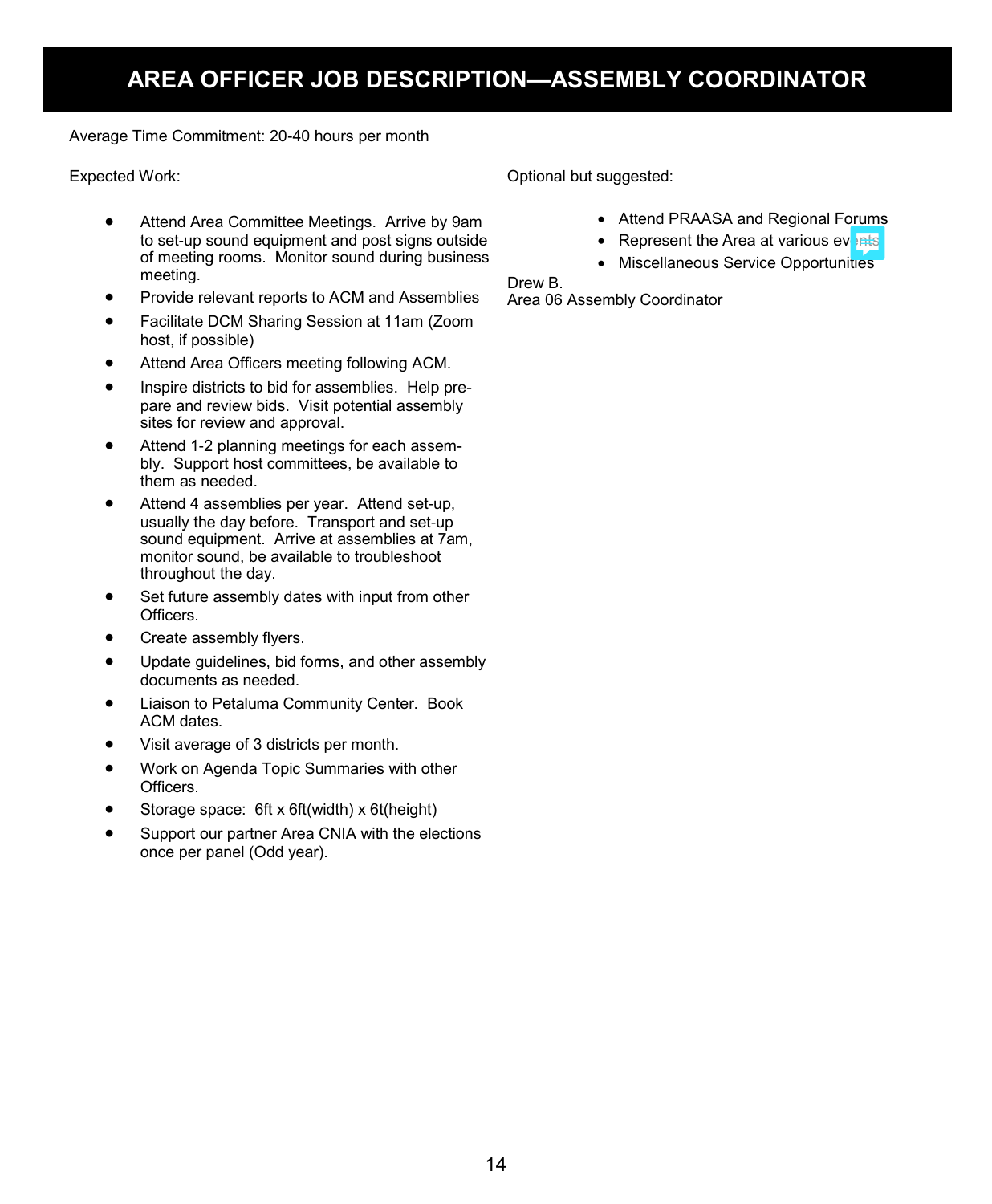# **AREA OFFICER JOB DESCRIPTION—ASSEMBLY COORDINATOR**

Average Time Commitment: 20-40 hours per month

Expected Work:

- Attend Area Committee Meetings. Arrive by 9am to set-up sound equipment and post signs outside of meeting rooms. Monitor sound during business meeting.
- Provide relevant reports to ACM and Assemblies
- Facilitate DCM Sharing Session at 11am (Zoom host, if possible)
- Attend Area Officers meeting following ACM.
- Inspire districts to bid for assemblies. Help prepare and review bids. Visit potential assembly sites for review and approval.
- Attend 1-2 planning meetings for each assembly. Support host committees, be available to them as needed.
- Attend 4 assemblies per year. Attend set-up, usually the day before. Transport and set-up sound equipment. Arrive at assemblies at 7am, monitor sound, be available to troubleshoot throughout the day.
- Set future assembly dates with input from other Officers.
- Create assembly flyers.
- Update guidelines, bid forms, and other assembly documents as needed.
- Liaison to Petaluma Community Center. Book ACM dates.
- Visit average of 3 districts per month.
- Work on Agenda Topic Summaries with other Officers.
- Storage space: 6ft x 6ft(width) x 6t(height)
- Support our partner Area CNIA with the elections once per panel (Odd year).

Optional but suggested:

- Attend PRAASA and Regional Forums
- Represent the Area at various events
- Miscellaneous Service Opportunities

Drew B.

Area 06 Assembly Coordinator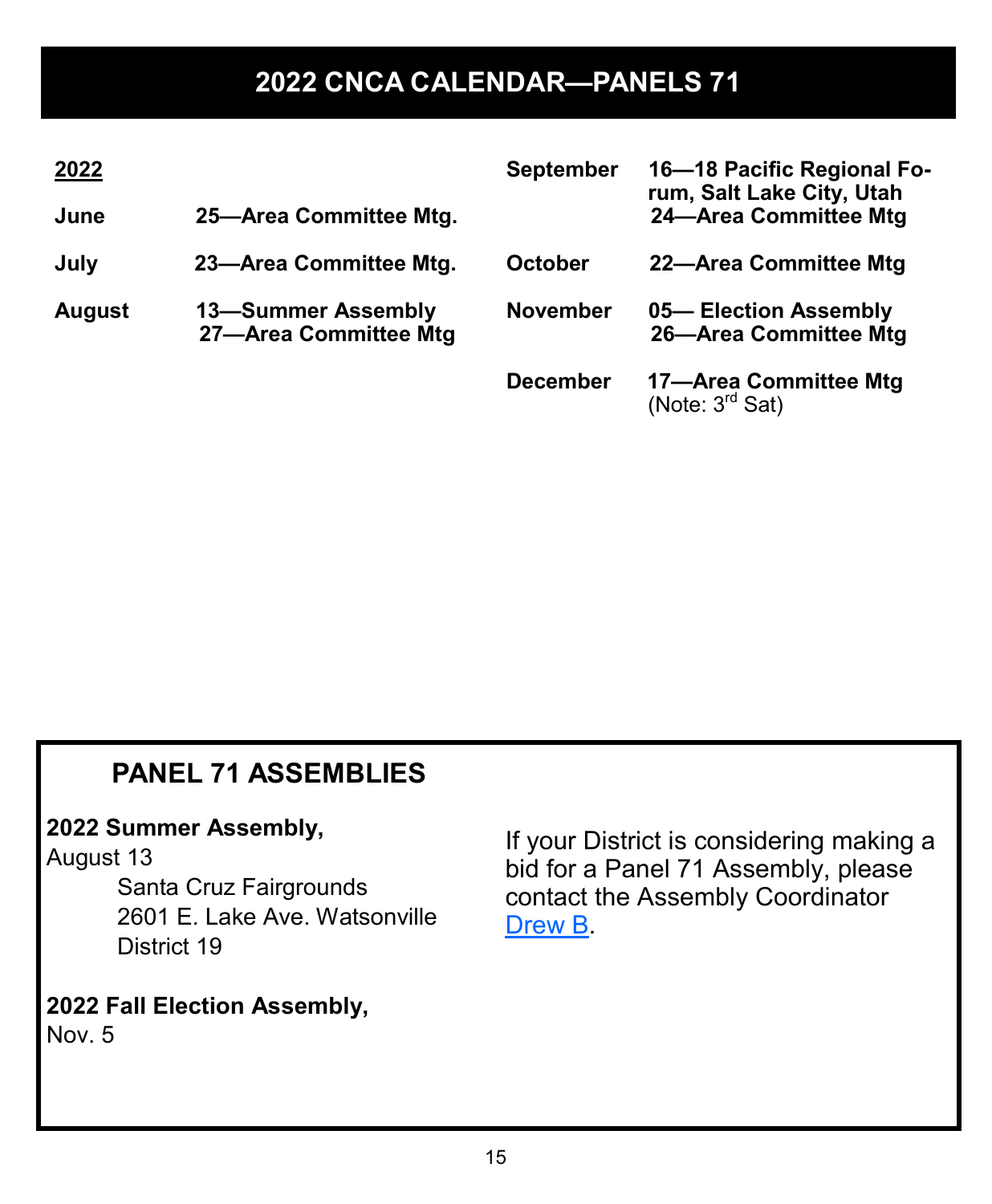# **2022 CNCA CALENDAR—PANELS 71**

| 2022                                                         |                        | <b>September</b> | 16-18 Pacific Regional Fo-<br>rum, Salt Lake City, Utah |  |
|--------------------------------------------------------------|------------------------|------------------|---------------------------------------------------------|--|
| 25-Area Committee Mtg.<br>June                               |                        |                  | 24-Area Committee Mtg                                   |  |
| July                                                         | 23-Area Committee Mtg. | <b>October</b>   | 22-Area Committee Mtg                                   |  |
| 13-Summer Assembly<br><b>August</b><br>27-Area Committee Mtg |                        | <b>November</b>  | 05-Election Assembly<br>26-Area Committee Mtg           |  |
|                                                              |                        | <b>December</b>  | 17-Area Committee Mtg<br>(Note: $3rd$ Sat)              |  |

# **PANEL 71 ASSEMBLIES**

### **2022 Summer Assembly,**

# August 13

Santa Cruz Fairgrounds 2601 E. Lake Ave. Watsonville District 19

# **2022 Fall Election Assembly,**

Nov. 5

If your District is considering making a bid for a Panel 71 Assembly, please contact the Assembly Coordinator Drew B.